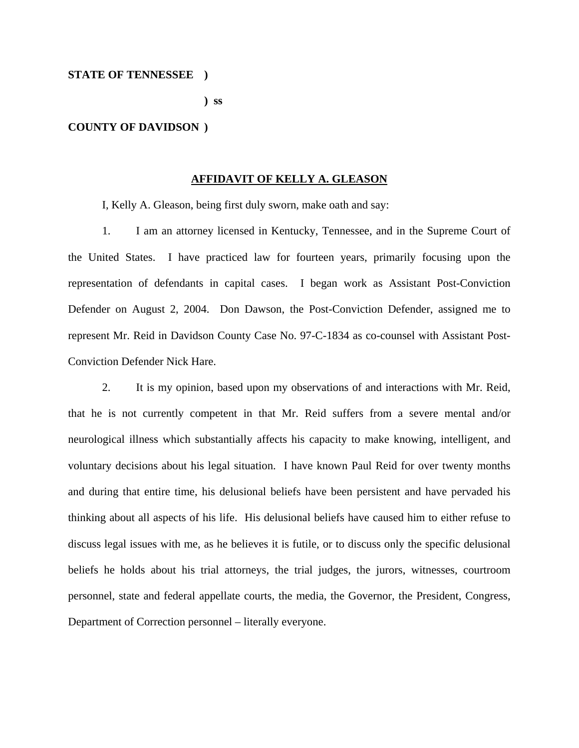#### **STATE OF TENNESSEE )**

 **) ss** 

#### **COUNTY OF DAVIDSON )**

#### **AFFIDAVIT OF KELLY A. GLEASON**

I, Kelly A. Gleason, being first duly sworn, make oath and say:

1. I am an attorney licensed in Kentucky, Tennessee, and in the Supreme Court of the United States. I have practiced law for fourteen years, primarily focusing upon the representation of defendants in capital cases. I began work as Assistant Post-Conviction Defender on August 2, 2004. Don Dawson, the Post-Conviction Defender, assigned me to represent Mr. Reid in Davidson County Case No. 97-C-1834 as co-counsel with Assistant Post-Conviction Defender Nick Hare.

2. It is my opinion, based upon my observations of and interactions with Mr. Reid, that he is not currently competent in that Mr. Reid suffers from a severe mental and/or neurological illness which substantially affects his capacity to make knowing, intelligent, and voluntary decisions about his legal situation. I have known Paul Reid for over twenty months and during that entire time, his delusional beliefs have been persistent and have pervaded his thinking about all aspects of his life. His delusional beliefs have caused him to either refuse to discuss legal issues with me, as he believes it is futile, or to discuss only the specific delusional beliefs he holds about his trial attorneys, the trial judges, the jurors, witnesses, courtroom personnel, state and federal appellate courts, the media, the Governor, the President, Congress, Department of Correction personnel – literally everyone.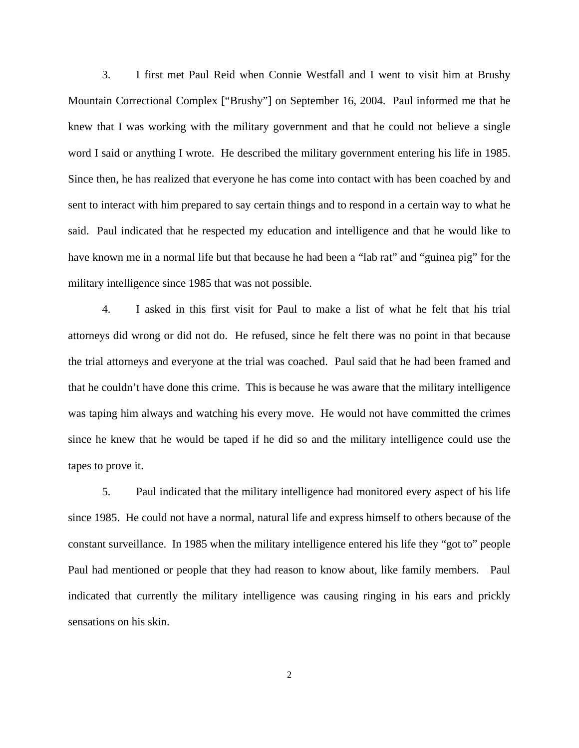3. I first met Paul Reid when Connie Westfall and I went to visit him at Brushy Mountain Correctional Complex ["Brushy"] on September 16, 2004. Paul informed me that he knew that I was working with the military government and that he could not believe a single word I said or anything I wrote. He described the military government entering his life in 1985. Since then, he has realized that everyone he has come into contact with has been coached by and sent to interact with him prepared to say certain things and to respond in a certain way to what he said. Paul indicated that he respected my education and intelligence and that he would like to have known me in a normal life but that because he had been a "lab rat" and "guinea pig" for the military intelligence since 1985 that was not possible.

4. I asked in this first visit for Paul to make a list of what he felt that his trial attorneys did wrong or did not do. He refused, since he felt there was no point in that because the trial attorneys and everyone at the trial was coached. Paul said that he had been framed and that he couldn't have done this crime. This is because he was aware that the military intelligence was taping him always and watching his every move. He would not have committed the crimes since he knew that he would be taped if he did so and the military intelligence could use the tapes to prove it.

5. Paul indicated that the military intelligence had monitored every aspect of his life since 1985. He could not have a normal, natural life and express himself to others because of the constant surveillance. In 1985 when the military intelligence entered his life they "got to" people Paul had mentioned or people that they had reason to know about, like family members. Paul indicated that currently the military intelligence was causing ringing in his ears and prickly sensations on his skin.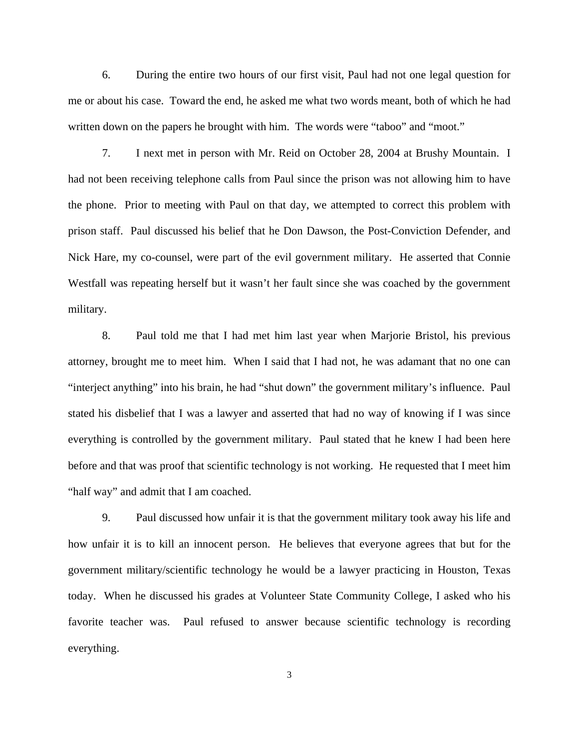6. During the entire two hours of our first visit, Paul had not one legal question for me or about his case. Toward the end, he asked me what two words meant, both of which he had written down on the papers he brought with him. The words were "taboo" and "moot."

7. I next met in person with Mr. Reid on October 28, 2004 at Brushy Mountain. I had not been receiving telephone calls from Paul since the prison was not allowing him to have the phone. Prior to meeting with Paul on that day, we attempted to correct this problem with prison staff. Paul discussed his belief that he Don Dawson, the Post-Conviction Defender, and Nick Hare, my co-counsel, were part of the evil government military. He asserted that Connie Westfall was repeating herself but it wasn't her fault since she was coached by the government military.

8. Paul told me that I had met him last year when Marjorie Bristol, his previous attorney, brought me to meet him. When I said that I had not, he was adamant that no one can "interject anything" into his brain, he had "shut down" the government military's influence. Paul stated his disbelief that I was a lawyer and asserted that had no way of knowing if I was since everything is controlled by the government military. Paul stated that he knew I had been here before and that was proof that scientific technology is not working. He requested that I meet him "half way" and admit that I am coached.

9. Paul discussed how unfair it is that the government military took away his life and how unfair it is to kill an innocent person. He believes that everyone agrees that but for the government military/scientific technology he would be a lawyer practicing in Houston, Texas today. When he discussed his grades at Volunteer State Community College, I asked who his favorite teacher was. Paul refused to answer because scientific technology is recording everything.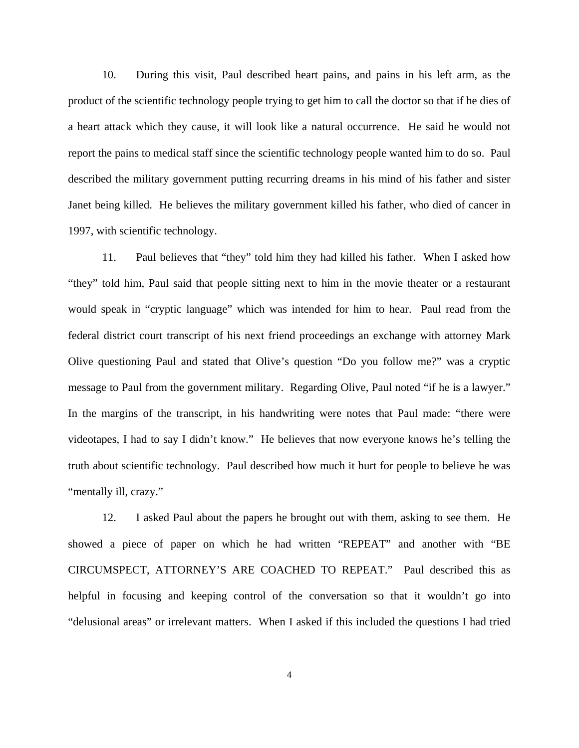10. During this visit, Paul described heart pains, and pains in his left arm, as the product of the scientific technology people trying to get him to call the doctor so that if he dies of a heart attack which they cause, it will look like a natural occurrence. He said he would not report the pains to medical staff since the scientific technology people wanted him to do so. Paul described the military government putting recurring dreams in his mind of his father and sister Janet being killed. He believes the military government killed his father, who died of cancer in 1997, with scientific technology.

11. Paul believes that "they" told him they had killed his father. When I asked how "they" told him, Paul said that people sitting next to him in the movie theater or a restaurant would speak in "cryptic language" which was intended for him to hear. Paul read from the federal district court transcript of his next friend proceedings an exchange with attorney Mark Olive questioning Paul and stated that Olive's question "Do you follow me?" was a cryptic message to Paul from the government military. Regarding Olive, Paul noted "if he is a lawyer." In the margins of the transcript, in his handwriting were notes that Paul made: "there were videotapes, I had to say I didn't know." He believes that now everyone knows he's telling the truth about scientific technology. Paul described how much it hurt for people to believe he was "mentally ill, crazy."

12. I asked Paul about the papers he brought out with them, asking to see them. He showed a piece of paper on which he had written "REPEAT" and another with "BE CIRCUMSPECT, ATTORNEY'S ARE COACHED TO REPEAT." Paul described this as helpful in focusing and keeping control of the conversation so that it wouldn't go into "delusional areas" or irrelevant matters. When I asked if this included the questions I had tried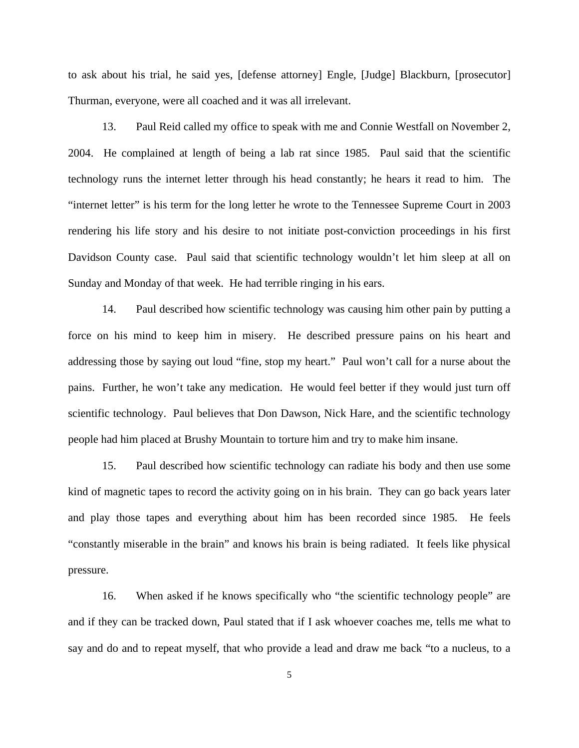to ask about his trial, he said yes, [defense attorney] Engle, [Judge] Blackburn, [prosecutor] Thurman, everyone, were all coached and it was all irrelevant.

13. Paul Reid called my office to speak with me and Connie Westfall on November 2, 2004. He complained at length of being a lab rat since 1985. Paul said that the scientific technology runs the internet letter through his head constantly; he hears it read to him. The "internet letter" is his term for the long letter he wrote to the Tennessee Supreme Court in 2003 rendering his life story and his desire to not initiate post-conviction proceedings in his first Davidson County case. Paul said that scientific technology wouldn't let him sleep at all on Sunday and Monday of that week. He had terrible ringing in his ears.

14. Paul described how scientific technology was causing him other pain by putting a force on his mind to keep him in misery. He described pressure pains on his heart and addressing those by saying out loud "fine, stop my heart." Paul won't call for a nurse about the pains. Further, he won't take any medication. He would feel better if they would just turn off scientific technology. Paul believes that Don Dawson, Nick Hare, and the scientific technology people had him placed at Brushy Mountain to torture him and try to make him insane.

15. Paul described how scientific technology can radiate his body and then use some kind of magnetic tapes to record the activity going on in his brain. They can go back years later and play those tapes and everything about him has been recorded since 1985. He feels "constantly miserable in the brain" and knows his brain is being radiated. It feels like physical pressure.

16. When asked if he knows specifically who "the scientific technology people" are and if they can be tracked down, Paul stated that if I ask whoever coaches me, tells me what to say and do and to repeat myself, that who provide a lead and draw me back "to a nucleus, to a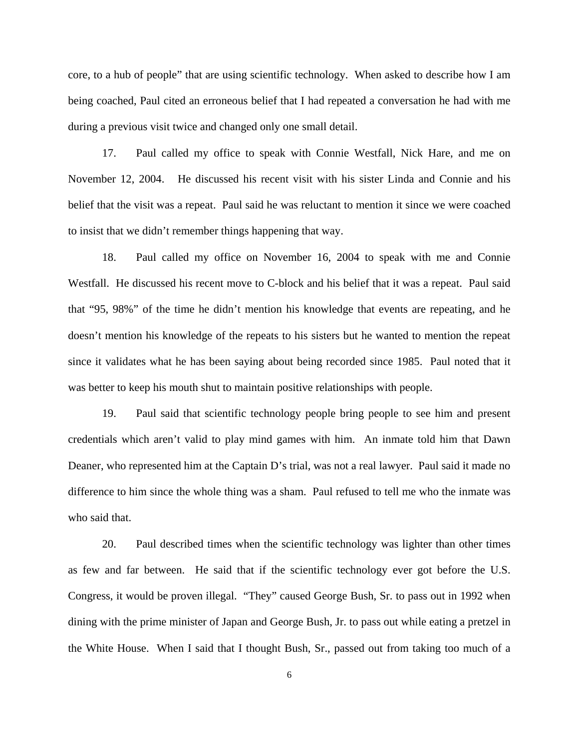core, to a hub of people" that are using scientific technology. When asked to describe how I am being coached, Paul cited an erroneous belief that I had repeated a conversation he had with me during a previous visit twice and changed only one small detail.

17. Paul called my office to speak with Connie Westfall, Nick Hare, and me on November 12, 2004. He discussed his recent visit with his sister Linda and Connie and his belief that the visit was a repeat. Paul said he was reluctant to mention it since we were coached to insist that we didn't remember things happening that way.

18. Paul called my office on November 16, 2004 to speak with me and Connie Westfall. He discussed his recent move to C-block and his belief that it was a repeat. Paul said that "95, 98%" of the time he didn't mention his knowledge that events are repeating, and he doesn't mention his knowledge of the repeats to his sisters but he wanted to mention the repeat since it validates what he has been saying about being recorded since 1985. Paul noted that it was better to keep his mouth shut to maintain positive relationships with people.

19. Paul said that scientific technology people bring people to see him and present credentials which aren't valid to play mind games with him. An inmate told him that Dawn Deaner, who represented him at the Captain D's trial, was not a real lawyer. Paul said it made no difference to him since the whole thing was a sham. Paul refused to tell me who the inmate was who said that.

20. Paul described times when the scientific technology was lighter than other times as few and far between. He said that if the scientific technology ever got before the U.S. Congress, it would be proven illegal. "They" caused George Bush, Sr. to pass out in 1992 when dining with the prime minister of Japan and George Bush, Jr. to pass out while eating a pretzel in the White House. When I said that I thought Bush, Sr., passed out from taking too much of a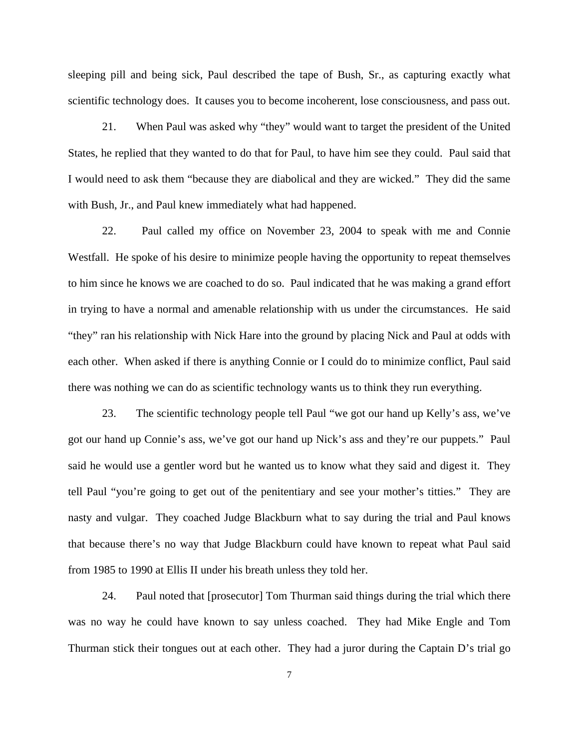sleeping pill and being sick, Paul described the tape of Bush, Sr., as capturing exactly what scientific technology does. It causes you to become incoherent, lose consciousness, and pass out.

21. When Paul was asked why "they" would want to target the president of the United States, he replied that they wanted to do that for Paul, to have him see they could. Paul said that I would need to ask them "because they are diabolical and they are wicked." They did the same with Bush, Jr., and Paul knew immediately what had happened.

22. Paul called my office on November 23, 2004 to speak with me and Connie Westfall. He spoke of his desire to minimize people having the opportunity to repeat themselves to him since he knows we are coached to do so. Paul indicated that he was making a grand effort in trying to have a normal and amenable relationship with us under the circumstances. He said "they" ran his relationship with Nick Hare into the ground by placing Nick and Paul at odds with each other. When asked if there is anything Connie or I could do to minimize conflict, Paul said there was nothing we can do as scientific technology wants us to think they run everything.

23. The scientific technology people tell Paul "we got our hand up Kelly's ass, we've got our hand up Connie's ass, we've got our hand up Nick's ass and they're our puppets." Paul said he would use a gentler word but he wanted us to know what they said and digest it. They tell Paul "you're going to get out of the penitentiary and see your mother's titties." They are nasty and vulgar. They coached Judge Blackburn what to say during the trial and Paul knows that because there's no way that Judge Blackburn could have known to repeat what Paul said from 1985 to 1990 at Ellis II under his breath unless they told her.

24. Paul noted that [prosecutor] Tom Thurman said things during the trial which there was no way he could have known to say unless coached. They had Mike Engle and Tom Thurman stick their tongues out at each other. They had a juror during the Captain D's trial go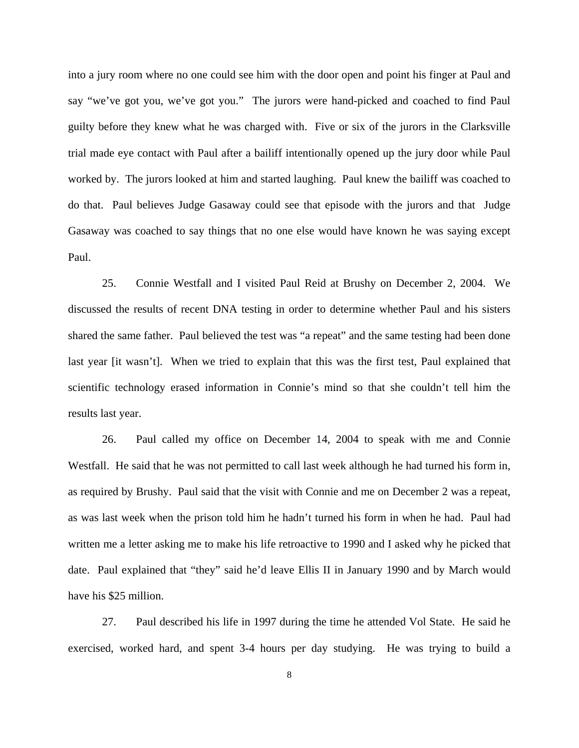into a jury room where no one could see him with the door open and point his finger at Paul and say "we've got you, we've got you." The jurors were hand-picked and coached to find Paul guilty before they knew what he was charged with. Five or six of the jurors in the Clarksville trial made eye contact with Paul after a bailiff intentionally opened up the jury door while Paul worked by. The jurors looked at him and started laughing. Paul knew the bailiff was coached to do that. Paul believes Judge Gasaway could see that episode with the jurors and that Judge Gasaway was coached to say things that no one else would have known he was saying except Paul.

25. Connie Westfall and I visited Paul Reid at Brushy on December 2, 2004. We discussed the results of recent DNA testing in order to determine whether Paul and his sisters shared the same father. Paul believed the test was "a repeat" and the same testing had been done last year [it wasn't]. When we tried to explain that this was the first test, Paul explained that scientific technology erased information in Connie's mind so that she couldn't tell him the results last year.

26. Paul called my office on December 14, 2004 to speak with me and Connie Westfall. He said that he was not permitted to call last week although he had turned his form in, as required by Brushy. Paul said that the visit with Connie and me on December 2 was a repeat, as was last week when the prison told him he hadn't turned his form in when he had. Paul had written me a letter asking me to make his life retroactive to 1990 and I asked why he picked that date. Paul explained that "they" said he'd leave Ellis II in January 1990 and by March would have his \$25 million.

27. Paul described his life in 1997 during the time he attended Vol State. He said he exercised, worked hard, and spent 3-4 hours per day studying. He was trying to build a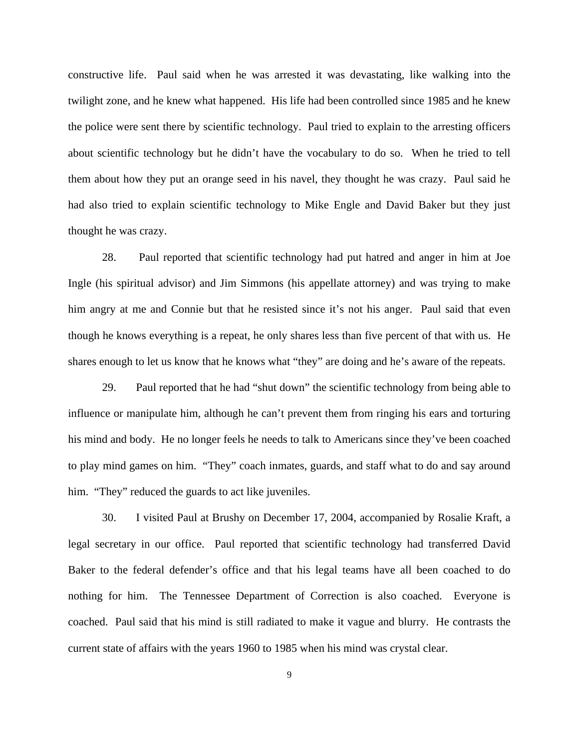constructive life. Paul said when he was arrested it was devastating, like walking into the twilight zone, and he knew what happened. His life had been controlled since 1985 and he knew the police were sent there by scientific technology. Paul tried to explain to the arresting officers about scientific technology but he didn't have the vocabulary to do so. When he tried to tell them about how they put an orange seed in his navel, they thought he was crazy. Paul said he had also tried to explain scientific technology to Mike Engle and David Baker but they just thought he was crazy.

28. Paul reported that scientific technology had put hatred and anger in him at Joe Ingle (his spiritual advisor) and Jim Simmons (his appellate attorney) and was trying to make him angry at me and Connie but that he resisted since it's not his anger. Paul said that even though he knows everything is a repeat, he only shares less than five percent of that with us. He shares enough to let us know that he knows what "they" are doing and he's aware of the repeats.

29. Paul reported that he had "shut down" the scientific technology from being able to influence or manipulate him, although he can't prevent them from ringing his ears and torturing his mind and body. He no longer feels he needs to talk to Americans since they've been coached to play mind games on him. "They" coach inmates, guards, and staff what to do and say around him. "They" reduced the guards to act like juveniles.

30. I visited Paul at Brushy on December 17, 2004, accompanied by Rosalie Kraft, a legal secretary in our office. Paul reported that scientific technology had transferred David Baker to the federal defender's office and that his legal teams have all been coached to do nothing for him. The Tennessee Department of Correction is also coached. Everyone is coached. Paul said that his mind is still radiated to make it vague and blurry. He contrasts the current state of affairs with the years 1960 to 1985 when his mind was crystal clear.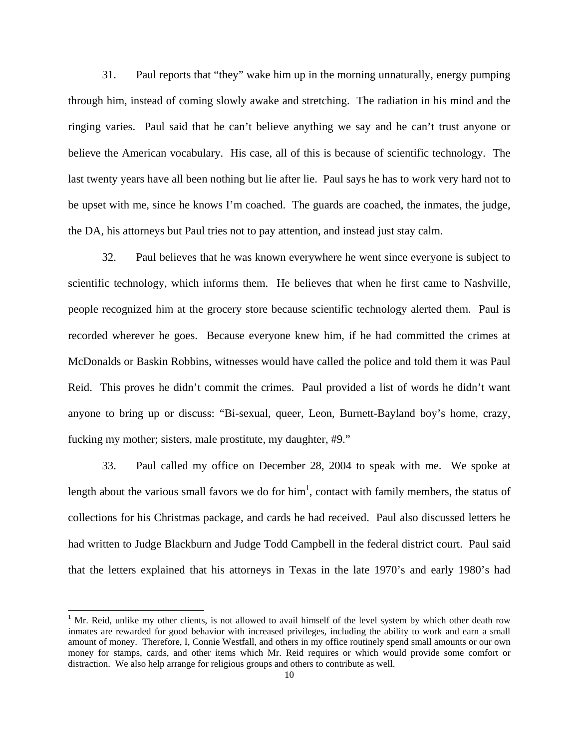31. Paul reports that "they" wake him up in the morning unnaturally, energy pumping through him, instead of coming slowly awake and stretching. The radiation in his mind and the ringing varies. Paul said that he can't believe anything we say and he can't trust anyone or believe the American vocabulary. His case, all of this is because of scientific technology. The last twenty years have all been nothing but lie after lie. Paul says he has to work very hard not to be upset with me, since he knows I'm coached. The guards are coached, the inmates, the judge, the DA, his attorneys but Paul tries not to pay attention, and instead just stay calm.

32. Paul believes that he was known everywhere he went since everyone is subject to scientific technology, which informs them. He believes that when he first came to Nashville, people recognized him at the grocery store because scientific technology alerted them. Paul is recorded wherever he goes. Because everyone knew him, if he had committed the crimes at McDonalds or Baskin Robbins, witnesses would have called the police and told them it was Paul Reid. This proves he didn't commit the crimes. Paul provided a list of words he didn't want anyone to bring up or discuss: "Bi-sexual, queer, Leon, Burnett-Bayland boy's home, crazy, fucking my mother; sisters, male prostitute, my daughter, #9."

33. Paul called my office on December 28, 2004 to speak with me. We spoke at length about the various small favors we do for  $\text{him}^1$ , contact with family members, the status of collections for his Christmas package, and cards he had received. Paul also discussed letters he had written to Judge Blackburn and Judge Todd Campbell in the federal district court. Paul said that the letters explained that his attorneys in Texas in the late 1970's and early 1980's had

l

<span id="page-9-0"></span><sup>&</sup>lt;sup>1</sup> Mr. Reid, unlike my other clients, is not allowed to avail himself of the level system by which other death row inmates are rewarded for good behavior with increased privileges, including the ability to work and earn a small amount of money. Therefore, I, Connie Westfall, and others in my office routinely spend small amounts or our own money for stamps, cards, and other items which Mr. Reid requires or which would provide some comfort or distraction. We also help arrange for religious groups and others to contribute as well.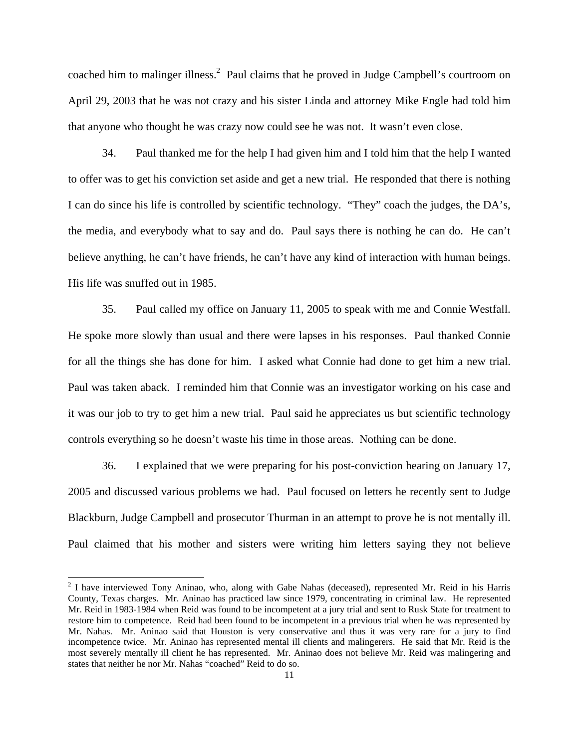coached him to malinger illness.<sup>[2](#page-10-0)</sup> Paul claims that he proved in Judge Campbell's courtroom on April 29, 2003 that he was not crazy and his sister Linda and attorney Mike Engle had told him that anyone who thought he was crazy now could see he was not. It wasn't even close.

34. Paul thanked me for the help I had given him and I told him that the help I wanted to offer was to get his conviction set aside and get a new trial. He responded that there is nothing I can do since his life is controlled by scientific technology. "They" coach the judges, the DA's, the media, and everybody what to say and do. Paul says there is nothing he can do. He can't believe anything, he can't have friends, he can't have any kind of interaction with human beings. His life was snuffed out in 1985.

35. Paul called my office on January 11, 2005 to speak with me and Connie Westfall. He spoke more slowly than usual and there were lapses in his responses. Paul thanked Connie for all the things she has done for him. I asked what Connie had done to get him a new trial. Paul was taken aback. I reminded him that Connie was an investigator working on his case and it was our job to try to get him a new trial. Paul said he appreciates us but scientific technology controls everything so he doesn't waste his time in those areas. Nothing can be done.

36. I explained that we were preparing for his post-conviction hearing on January 17, 2005 and discussed various problems we had. Paul focused on letters he recently sent to Judge Blackburn, Judge Campbell and prosecutor Thurman in an attempt to prove he is not mentally ill. Paul claimed that his mother and sisters were writing him letters saying they not believe

l

<span id="page-10-0"></span><sup>&</sup>lt;sup>2</sup> I have interviewed Tony Aninao, who, along with Gabe Nahas (deceased), represented Mr. Reid in his Harris County, Texas charges. Mr. Aninao has practiced law since 1979, concentrating in criminal law. He represented Mr. Reid in 1983-1984 when Reid was found to be incompetent at a jury trial and sent to Rusk State for treatment to restore him to competence. Reid had been found to be incompetent in a previous trial when he was represented by Mr. Nahas. Mr. Aninao said that Houston is very conservative and thus it was very rare for a jury to find incompetence twice. Mr. Aninao has represented mental ill clients and malingerers. He said that Mr. Reid is the most severely mentally ill client he has represented. Mr. Aninao does not believe Mr. Reid was malingering and states that neither he nor Mr. Nahas "coached" Reid to do so.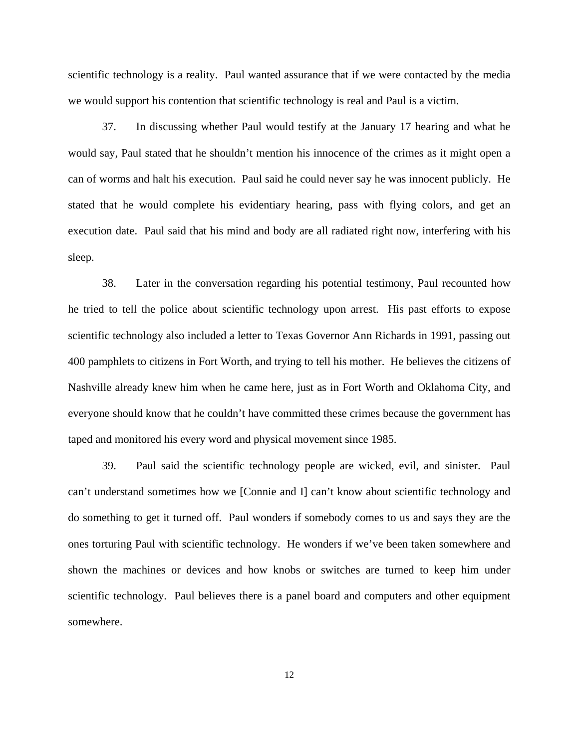scientific technology is a reality. Paul wanted assurance that if we were contacted by the media we would support his contention that scientific technology is real and Paul is a victim.

37. In discussing whether Paul would testify at the January 17 hearing and what he would say, Paul stated that he shouldn't mention his innocence of the crimes as it might open a can of worms and halt his execution. Paul said he could never say he was innocent publicly. He stated that he would complete his evidentiary hearing, pass with flying colors, and get an execution date. Paul said that his mind and body are all radiated right now, interfering with his sleep.

38. Later in the conversation regarding his potential testimony, Paul recounted how he tried to tell the police about scientific technology upon arrest. His past efforts to expose scientific technology also included a letter to Texas Governor Ann Richards in 1991, passing out 400 pamphlets to citizens in Fort Worth, and trying to tell his mother. He believes the citizens of Nashville already knew him when he came here, just as in Fort Worth and Oklahoma City, and everyone should know that he couldn't have committed these crimes because the government has taped and monitored his every word and physical movement since 1985.

39. Paul said the scientific technology people are wicked, evil, and sinister. Paul can't understand sometimes how we [Connie and I] can't know about scientific technology and do something to get it turned off. Paul wonders if somebody comes to us and says they are the ones torturing Paul with scientific technology. He wonders if we've been taken somewhere and shown the machines or devices and how knobs or switches are turned to keep him under scientific technology. Paul believes there is a panel board and computers and other equipment somewhere.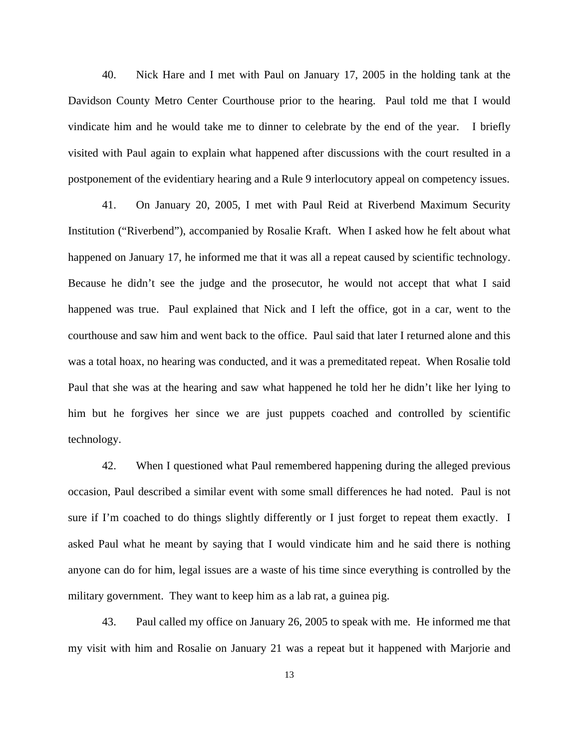40. Nick Hare and I met with Paul on January 17, 2005 in the holding tank at the Davidson County Metro Center Courthouse prior to the hearing. Paul told me that I would vindicate him and he would take me to dinner to celebrate by the end of the year. I briefly visited with Paul again to explain what happened after discussions with the court resulted in a postponement of the evidentiary hearing and a Rule 9 interlocutory appeal on competency issues.

41. On January 20, 2005, I met with Paul Reid at Riverbend Maximum Security Institution ("Riverbend"), accompanied by Rosalie Kraft. When I asked how he felt about what happened on January 17, he informed me that it was all a repeat caused by scientific technology. Because he didn't see the judge and the prosecutor, he would not accept that what I said happened was true. Paul explained that Nick and I left the office, got in a car, went to the courthouse and saw him and went back to the office. Paul said that later I returned alone and this was a total hoax, no hearing was conducted, and it was a premeditated repeat. When Rosalie told Paul that she was at the hearing and saw what happened he told her he didn't like her lying to him but he forgives her since we are just puppets coached and controlled by scientific technology.

42. When I questioned what Paul remembered happening during the alleged previous occasion, Paul described a similar event with some small differences he had noted. Paul is not sure if I'm coached to do things slightly differently or I just forget to repeat them exactly. I asked Paul what he meant by saying that I would vindicate him and he said there is nothing anyone can do for him, legal issues are a waste of his time since everything is controlled by the military government. They want to keep him as a lab rat, a guinea pig.

43. Paul called my office on January 26, 2005 to speak with me. He informed me that my visit with him and Rosalie on January 21 was a repeat but it happened with Marjorie and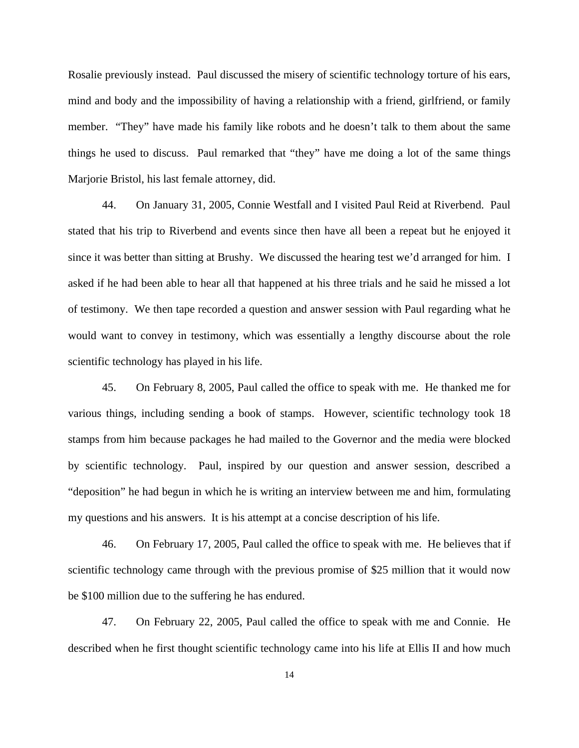Rosalie previously instead. Paul discussed the misery of scientific technology torture of his ears, mind and body and the impossibility of having a relationship with a friend, girlfriend, or family member. "They" have made his family like robots and he doesn't talk to them about the same things he used to discuss. Paul remarked that "they" have me doing a lot of the same things Marjorie Bristol, his last female attorney, did.

44. On January 31, 2005, Connie Westfall and I visited Paul Reid at Riverbend. Paul stated that his trip to Riverbend and events since then have all been a repeat but he enjoyed it since it was better than sitting at Brushy. We discussed the hearing test we'd arranged for him. I asked if he had been able to hear all that happened at his three trials and he said he missed a lot of testimony. We then tape recorded a question and answer session with Paul regarding what he would want to convey in testimony, which was essentially a lengthy discourse about the role scientific technology has played in his life.

45. On February 8, 2005, Paul called the office to speak with me. He thanked me for various things, including sending a book of stamps. However, scientific technology took 18 stamps from him because packages he had mailed to the Governor and the media were blocked by scientific technology. Paul, inspired by our question and answer session, described a "deposition" he had begun in which he is writing an interview between me and him, formulating my questions and his answers. It is his attempt at a concise description of his life.

46. On February 17, 2005, Paul called the office to speak with me. He believes that if scientific technology came through with the previous promise of \$25 million that it would now be \$100 million due to the suffering he has endured.

47. On February 22, 2005, Paul called the office to speak with me and Connie. He described when he first thought scientific technology came into his life at Ellis II and how much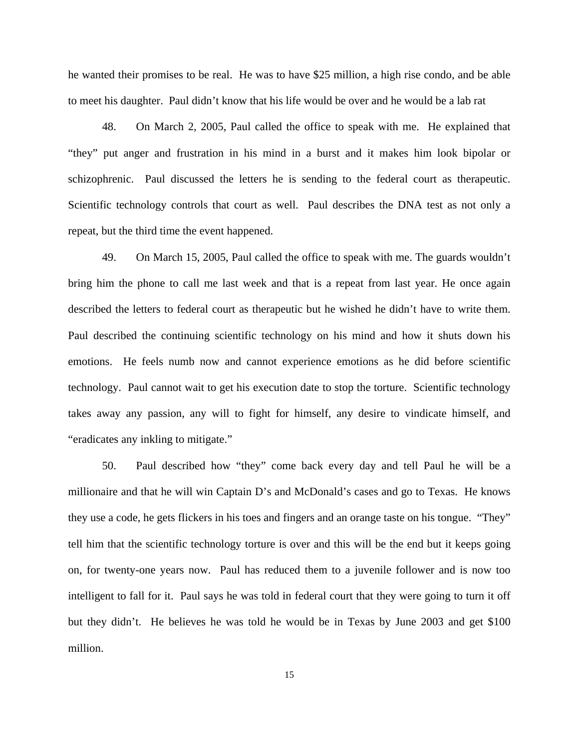he wanted their promises to be real. He was to have \$25 million, a high rise condo, and be able to meet his daughter. Paul didn't know that his life would be over and he would be a lab rat

48. On March 2, 2005, Paul called the office to speak with me. He explained that "they" put anger and frustration in his mind in a burst and it makes him look bipolar or schizophrenic. Paul discussed the letters he is sending to the federal court as therapeutic. Scientific technology controls that court as well. Paul describes the DNA test as not only a repeat, but the third time the event happened.

49. On March 15, 2005, Paul called the office to speak with me. The guards wouldn't bring him the phone to call me last week and that is a repeat from last year. He once again described the letters to federal court as therapeutic but he wished he didn't have to write them. Paul described the continuing scientific technology on his mind and how it shuts down his emotions. He feels numb now and cannot experience emotions as he did before scientific technology. Paul cannot wait to get his execution date to stop the torture. Scientific technology takes away any passion, any will to fight for himself, any desire to vindicate himself, and "eradicates any inkling to mitigate."

50. Paul described how "they" come back every day and tell Paul he will be a millionaire and that he will win Captain D's and McDonald's cases and go to Texas. He knows they use a code, he gets flickers in his toes and fingers and an orange taste on his tongue. "They" tell him that the scientific technology torture is over and this will be the end but it keeps going on, for twenty-one years now. Paul has reduced them to a juvenile follower and is now too intelligent to fall for it. Paul says he was told in federal court that they were going to turn it off but they didn't. He believes he was told he would be in Texas by June 2003 and get \$100 million.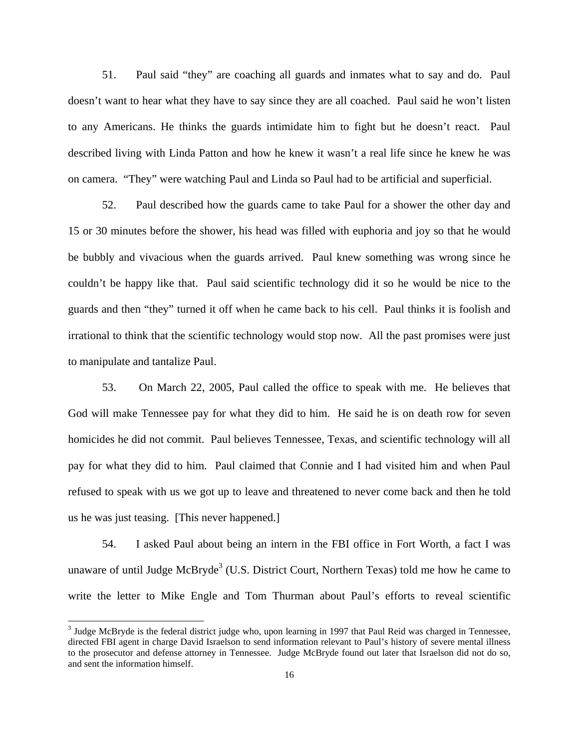51. Paul said "they" are coaching all guards and inmates what to say and do. Paul doesn't want to hear what they have to say since they are all coached. Paul said he won't listen to any Americans. He thinks the guards intimidate him to fight but he doesn't react. Paul described living with Linda Patton and how he knew it wasn't a real life since he knew he was on camera. "They" were watching Paul and Linda so Paul had to be artificial and superficial.

52. Paul described how the guards came to take Paul for a shower the other day and 15 or 30 minutes before the shower, his head was filled with euphoria and joy so that he would be bubbly and vivacious when the guards arrived. Paul knew something was wrong since he couldn't be happy like that. Paul said scientific technology did it so he would be nice to the guards and then "they" turned it off when he came back to his cell. Paul thinks it is foolish and irrational to think that the scientific technology would stop now. All the past promises were just to manipulate and tantalize Paul.

53. On March 22, 2005, Paul called the office to speak with me. He believes that God will make Tennessee pay for what they did to him. He said he is on death row for seven homicides he did not commit. Paul believes Tennessee, Texas, and scientific technology will all pay for what they did to him. Paul claimed that Connie and I had visited him and when Paul refused to speak with us we got up to leave and threatened to never come back and then he told us he was just teasing. [This never happened.]

54. I asked Paul about being an intern in the FBI office in Fort Worth, a fact I was unaware of until Judge McBryde<sup>[3](#page-15-0)</sup> (U.S. District Court, Northern Texas) told me how he came to write the letter to Mike Engle and Tom Thurman about Paul's efforts to reveal scientific

 $\overline{\phantom{a}}$ 

<span id="page-15-0"></span> $3$  Judge McBryde is the federal district judge who, upon learning in 1997 that Paul Reid was charged in Tennessee, directed FBI agent in charge David Israelson to send information relevant to Paul's history of severe mental illness to the prosecutor and defense attorney in Tennessee. Judge McBryde found out later that Israelson did not do so, and sent the information himself.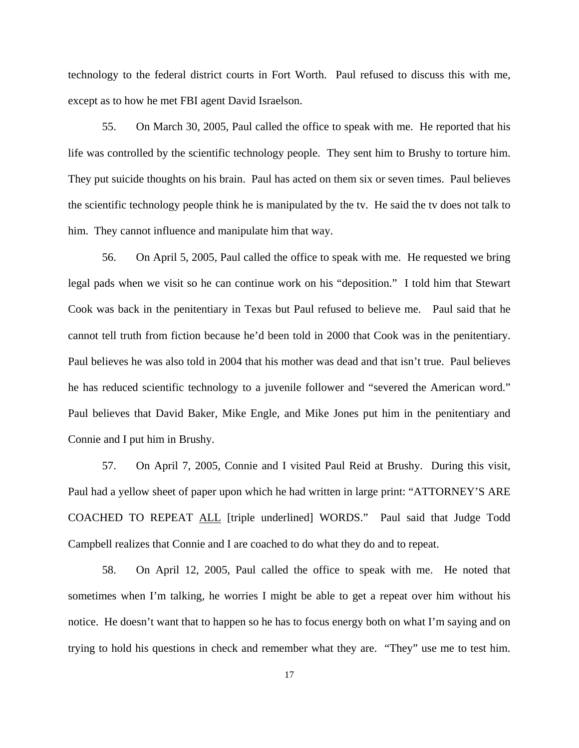technology to the federal district courts in Fort Worth. Paul refused to discuss this with me, except as to how he met FBI agent David Israelson.

55. On March 30, 2005, Paul called the office to speak with me. He reported that his life was controlled by the scientific technology people. They sent him to Brushy to torture him. They put suicide thoughts on his brain. Paul has acted on them six or seven times. Paul believes the scientific technology people think he is manipulated by the tv. He said the tv does not talk to him. They cannot influence and manipulate him that way.

56. On April 5, 2005, Paul called the office to speak with me. He requested we bring legal pads when we visit so he can continue work on his "deposition." I told him that Stewart Cook was back in the penitentiary in Texas but Paul refused to believe me. Paul said that he cannot tell truth from fiction because he'd been told in 2000 that Cook was in the penitentiary. Paul believes he was also told in 2004 that his mother was dead and that isn't true. Paul believes he has reduced scientific technology to a juvenile follower and "severed the American word." Paul believes that David Baker, Mike Engle, and Mike Jones put him in the penitentiary and Connie and I put him in Brushy.

57. On April 7, 2005, Connie and I visited Paul Reid at Brushy. During this visit, Paul had a yellow sheet of paper upon which he had written in large print: "ATTORNEY'S ARE COACHED TO REPEAT ALL [triple underlined] WORDS." Paul said that Judge Todd Campbell realizes that Connie and I are coached to do what they do and to repeat.

58. On April 12, 2005, Paul called the office to speak with me. He noted that sometimes when I'm talking, he worries I might be able to get a repeat over him without his notice. He doesn't want that to happen so he has to focus energy both on what I'm saying and on trying to hold his questions in check and remember what they are. "They" use me to test him.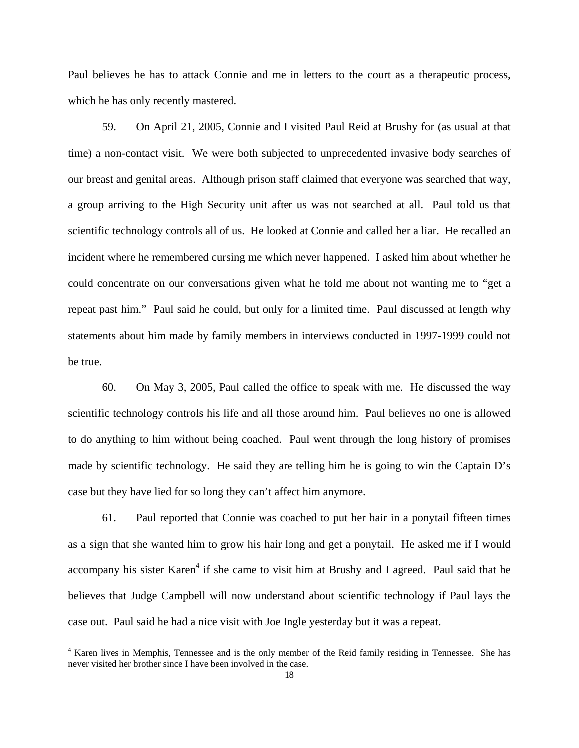Paul believes he has to attack Connie and me in letters to the court as a therapeutic process, which he has only recently mastered.

59. On April 21, 2005, Connie and I visited Paul Reid at Brushy for (as usual at that time) a non-contact visit. We were both subjected to unprecedented invasive body searches of our breast and genital areas. Although prison staff claimed that everyone was searched that way, a group arriving to the High Security unit after us was not searched at all. Paul told us that scientific technology controls all of us. He looked at Connie and called her a liar. He recalled an incident where he remembered cursing me which never happened. I asked him about whether he could concentrate on our conversations given what he told me about not wanting me to "get a repeat past him." Paul said he could, but only for a limited time. Paul discussed at length why statements about him made by family members in interviews conducted in 1997-1999 could not be true.

60. On May 3, 2005, Paul called the office to speak with me. He discussed the way scientific technology controls his life and all those around him. Paul believes no one is allowed to do anything to him without being coached. Paul went through the long history of promises made by scientific technology. He said they are telling him he is going to win the Captain D's case but they have lied for so long they can't affect him anymore.

61. Paul reported that Connie was coached to put her hair in a ponytail fifteen times as a sign that she wanted him to grow his hair long and get a ponytail. He asked me if I would accompany his sister Karen<sup>[4](#page-17-0)</sup> if she came to visit him at Brushy and I agreed. Paul said that he believes that Judge Campbell will now understand about scientific technology if Paul lays the case out. Paul said he had a nice visit with Joe Ingle yesterday but it was a repeat.

l

<span id="page-17-0"></span><sup>&</sup>lt;sup>4</sup> Karen lives in Memphis, Tennessee and is the only member of the Reid family residing in Tennessee. She has never visited her brother since I have been involved in the case.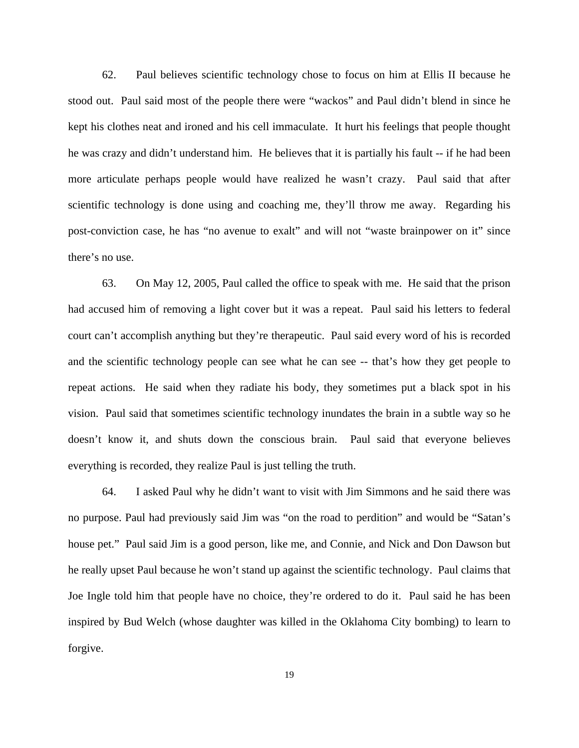62. Paul believes scientific technology chose to focus on him at Ellis II because he stood out. Paul said most of the people there were "wackos" and Paul didn't blend in since he kept his clothes neat and ironed and his cell immaculate. It hurt his feelings that people thought he was crazy and didn't understand him. He believes that it is partially his fault -- if he had been more articulate perhaps people would have realized he wasn't crazy. Paul said that after scientific technology is done using and coaching me, they'll throw me away. Regarding his post-conviction case, he has "no avenue to exalt" and will not "waste brainpower on it" since there's no use.

63. On May 12, 2005, Paul called the office to speak with me. He said that the prison had accused him of removing a light cover but it was a repeat. Paul said his letters to federal court can't accomplish anything but they're therapeutic. Paul said every word of his is recorded and the scientific technology people can see what he can see -- that's how they get people to repeat actions. He said when they radiate his body, they sometimes put a black spot in his vision. Paul said that sometimes scientific technology inundates the brain in a subtle way so he doesn't know it, and shuts down the conscious brain. Paul said that everyone believes everything is recorded, they realize Paul is just telling the truth.

64. I asked Paul why he didn't want to visit with Jim Simmons and he said there was no purpose. Paul had previously said Jim was "on the road to perdition" and would be "Satan's house pet." Paul said Jim is a good person, like me, and Connie, and Nick and Don Dawson but he really upset Paul because he won't stand up against the scientific technology. Paul claims that Joe Ingle told him that people have no choice, they're ordered to do it. Paul said he has been inspired by Bud Welch (whose daughter was killed in the Oklahoma City bombing) to learn to forgive.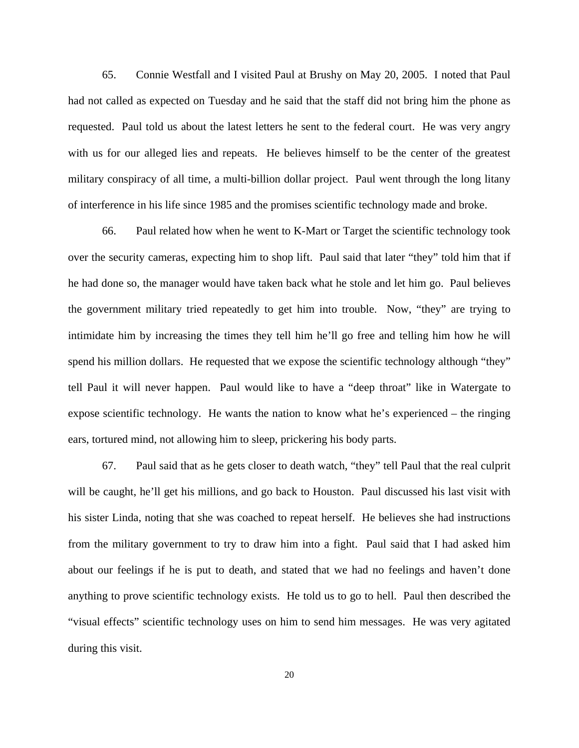65. Connie Westfall and I visited Paul at Brushy on May 20, 2005. I noted that Paul had not called as expected on Tuesday and he said that the staff did not bring him the phone as requested. Paul told us about the latest letters he sent to the federal court. He was very angry with us for our alleged lies and repeats. He believes himself to be the center of the greatest military conspiracy of all time, a multi-billion dollar project. Paul went through the long litany of interference in his life since 1985 and the promises scientific technology made and broke.

66. Paul related how when he went to K-Mart or Target the scientific technology took over the security cameras, expecting him to shop lift. Paul said that later "they" told him that if he had done so, the manager would have taken back what he stole and let him go. Paul believes the government military tried repeatedly to get him into trouble. Now, "they" are trying to intimidate him by increasing the times they tell him he'll go free and telling him how he will spend his million dollars. He requested that we expose the scientific technology although "they" tell Paul it will never happen. Paul would like to have a "deep throat" like in Watergate to expose scientific technology. He wants the nation to know what he's experienced – the ringing ears, tortured mind, not allowing him to sleep, prickering his body parts.

67. Paul said that as he gets closer to death watch, "they" tell Paul that the real culprit will be caught, he'll get his millions, and go back to Houston. Paul discussed his last visit with his sister Linda, noting that she was coached to repeat herself. He believes she had instructions from the military government to try to draw him into a fight. Paul said that I had asked him about our feelings if he is put to death, and stated that we had no feelings and haven't done anything to prove scientific technology exists. He told us to go to hell. Paul then described the "visual effects" scientific technology uses on him to send him messages. He was very agitated during this visit.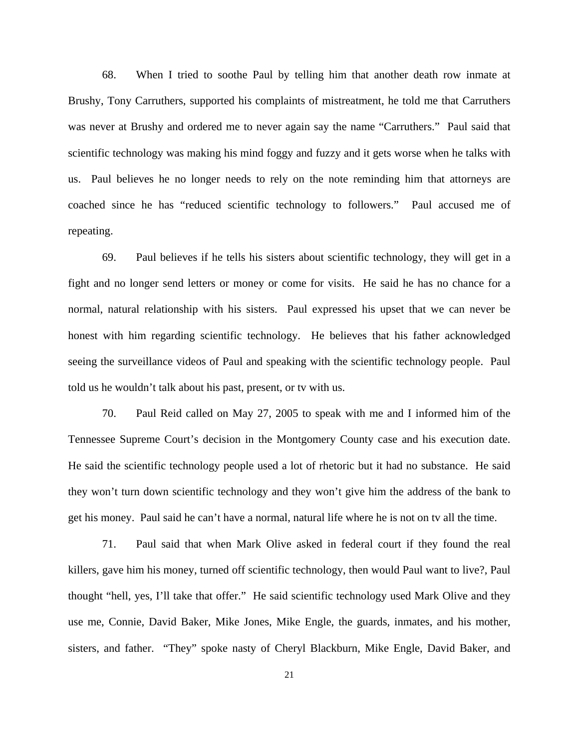68. When I tried to soothe Paul by telling him that another death row inmate at Brushy, Tony Carruthers, supported his complaints of mistreatment, he told me that Carruthers was never at Brushy and ordered me to never again say the name "Carruthers." Paul said that scientific technology was making his mind foggy and fuzzy and it gets worse when he talks with us. Paul believes he no longer needs to rely on the note reminding him that attorneys are coached since he has "reduced scientific technology to followers." Paul accused me of repeating.

69. Paul believes if he tells his sisters about scientific technology, they will get in a fight and no longer send letters or money or come for visits. He said he has no chance for a normal, natural relationship with his sisters. Paul expressed his upset that we can never be honest with him regarding scientific technology. He believes that his father acknowledged seeing the surveillance videos of Paul and speaking with the scientific technology people. Paul told us he wouldn't talk about his past, present, or tv with us.

70. Paul Reid called on May 27, 2005 to speak with me and I informed him of the Tennessee Supreme Court's decision in the Montgomery County case and his execution date. He said the scientific technology people used a lot of rhetoric but it had no substance. He said they won't turn down scientific technology and they won't give him the address of the bank to get his money. Paul said he can't have a normal, natural life where he is not on tv all the time.

71. Paul said that when Mark Olive asked in federal court if they found the real killers, gave him his money, turned off scientific technology, then would Paul want to live?, Paul thought "hell, yes, I'll take that offer." He said scientific technology used Mark Olive and they use me, Connie, David Baker, Mike Jones, Mike Engle, the guards, inmates, and his mother, sisters, and father. "They" spoke nasty of Cheryl Blackburn, Mike Engle, David Baker, and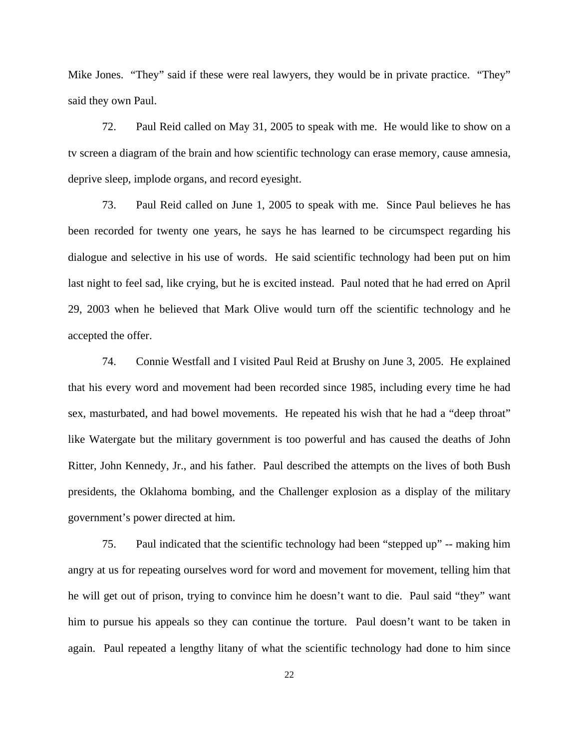Mike Jones. "They" said if these were real lawyers, they would be in private practice. "They" said they own Paul.

72. Paul Reid called on May 31, 2005 to speak with me. He would like to show on a tv screen a diagram of the brain and how scientific technology can erase memory, cause amnesia, deprive sleep, implode organs, and record eyesight.

73. Paul Reid called on June 1, 2005 to speak with me. Since Paul believes he has been recorded for twenty one years, he says he has learned to be circumspect regarding his dialogue and selective in his use of words. He said scientific technology had been put on him last night to feel sad, like crying, but he is excited instead. Paul noted that he had erred on April 29, 2003 when he believed that Mark Olive would turn off the scientific technology and he accepted the offer.

74. Connie Westfall and I visited Paul Reid at Brushy on June 3, 2005. He explained that his every word and movement had been recorded since 1985, including every time he had sex, masturbated, and had bowel movements. He repeated his wish that he had a "deep throat" like Watergate but the military government is too powerful and has caused the deaths of John Ritter, John Kennedy, Jr., and his father. Paul described the attempts on the lives of both Bush presidents, the Oklahoma bombing, and the Challenger explosion as a display of the military government's power directed at him.

75. Paul indicated that the scientific technology had been "stepped up" -- making him angry at us for repeating ourselves word for word and movement for movement, telling him that he will get out of prison, trying to convince him he doesn't want to die. Paul said "they" want him to pursue his appeals so they can continue the torture. Paul doesn't want to be taken in again. Paul repeated a lengthy litany of what the scientific technology had done to him since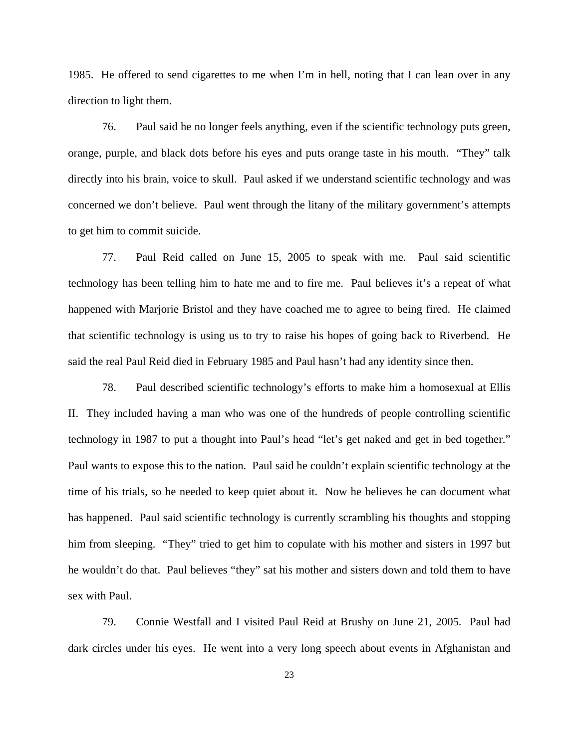1985. He offered to send cigarettes to me when I'm in hell, noting that I can lean over in any direction to light them.

76. Paul said he no longer feels anything, even if the scientific technology puts green, orange, purple, and black dots before his eyes and puts orange taste in his mouth. "They" talk directly into his brain, voice to skull. Paul asked if we understand scientific technology and was concerned we don't believe. Paul went through the litany of the military government's attempts to get him to commit suicide.

77. Paul Reid called on June 15, 2005 to speak with me. Paul said scientific technology has been telling him to hate me and to fire me. Paul believes it's a repeat of what happened with Marjorie Bristol and they have coached me to agree to being fired. He claimed that scientific technology is using us to try to raise his hopes of going back to Riverbend. He said the real Paul Reid died in February 1985 and Paul hasn't had any identity since then.

78. Paul described scientific technology's efforts to make him a homosexual at Ellis II. They included having a man who was one of the hundreds of people controlling scientific technology in 1987 to put a thought into Paul's head "let's get naked and get in bed together." Paul wants to expose this to the nation. Paul said he couldn't explain scientific technology at the time of his trials, so he needed to keep quiet about it. Now he believes he can document what has happened. Paul said scientific technology is currently scrambling his thoughts and stopping him from sleeping. "They" tried to get him to copulate with his mother and sisters in 1997 but he wouldn't do that. Paul believes "they" sat his mother and sisters down and told them to have sex with Paul.

79. Connie Westfall and I visited Paul Reid at Brushy on June 21, 2005. Paul had dark circles under his eyes. He went into a very long speech about events in Afghanistan and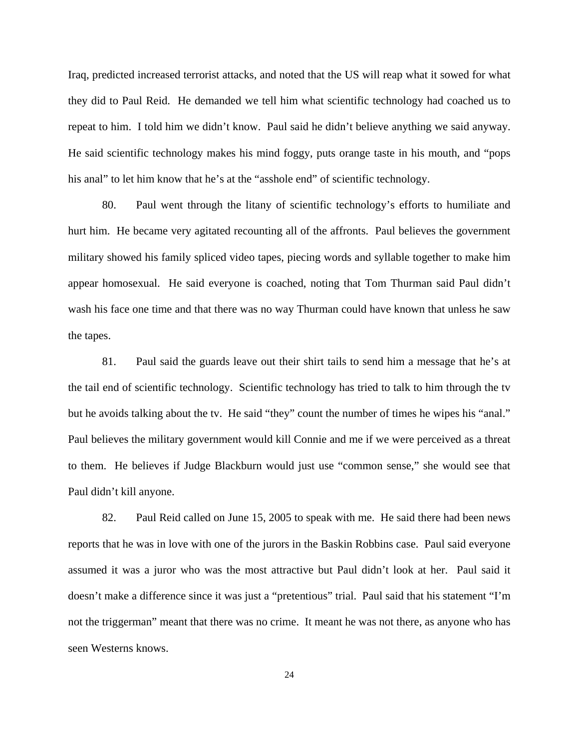Iraq, predicted increased terrorist attacks, and noted that the US will reap what it sowed for what they did to Paul Reid. He demanded we tell him what scientific technology had coached us to repeat to him. I told him we didn't know. Paul said he didn't believe anything we said anyway. He said scientific technology makes his mind foggy, puts orange taste in his mouth, and "pops his anal" to let him know that he's at the "asshole end" of scientific technology.

80. Paul went through the litany of scientific technology's efforts to humiliate and hurt him. He became very agitated recounting all of the affronts. Paul believes the government military showed his family spliced video tapes, piecing words and syllable together to make him appear homosexual. He said everyone is coached, noting that Tom Thurman said Paul didn't wash his face one time and that there was no way Thurman could have known that unless he saw the tapes.

81. Paul said the guards leave out their shirt tails to send him a message that he's at the tail end of scientific technology. Scientific technology has tried to talk to him through the tv but he avoids talking about the tv. He said "they" count the number of times he wipes his "anal." Paul believes the military government would kill Connie and me if we were perceived as a threat to them. He believes if Judge Blackburn would just use "common sense," she would see that Paul didn't kill anyone.

82. Paul Reid called on June 15, 2005 to speak with me. He said there had been news reports that he was in love with one of the jurors in the Baskin Robbins case. Paul said everyone assumed it was a juror who was the most attractive but Paul didn't look at her. Paul said it doesn't make a difference since it was just a "pretentious" trial. Paul said that his statement "I'm not the triggerman" meant that there was no crime. It meant he was not there, as anyone who has seen Westerns knows.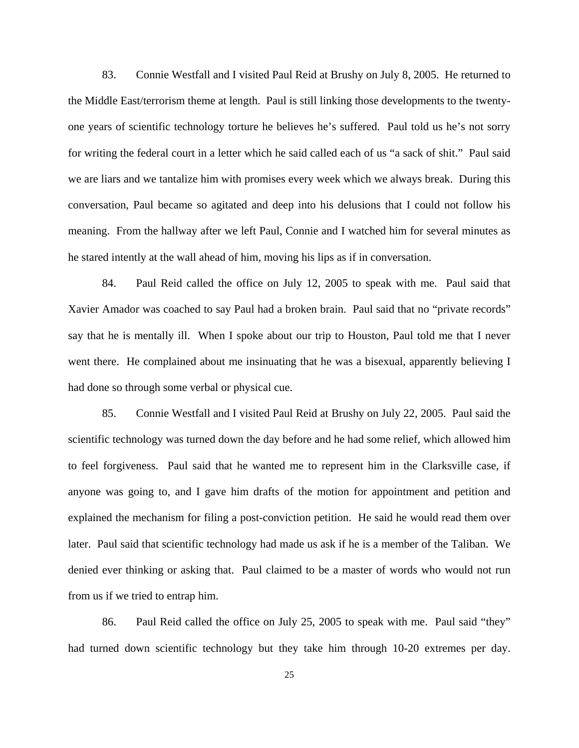83. Connie Westfall and I visited Paul Reid at Brushy on July 8, 2005. He returned to the Middle East/terrorism theme at length. Paul is still linking those developments to the twentyone years of scientific technology torture he believes he's suffered. Paul told us he's not sorry for writing the federal court in a letter which he said called each of us "a sack of shit." Paul said we are liars and we tantalize him with promises every week which we always break. During this conversation, Paul became so agitated and deep into his delusions that I could not follow his meaning. From the hallway after we left Paul, Connie and I watched him for several minutes as he stared intently at the wall ahead of him, moving his lips as if in conversation.

84. Paul Reid called the office on July 12, 2005 to speak with me. Paul said that Xavier Amador was coached to say Paul had a broken brain. Paul said that no "private records" say that he is mentally ill. When I spoke about our trip to Houston, Paul told me that I never went there. He complained about me insinuating that he was a bisexual, apparently believing I had done so through some verbal or physical cue.

85. Connie Westfall and I visited Paul Reid at Brushy on July 22, 2005. Paul said the scientific technology was turned down the day before and he had some relief, which allowed him to feel forgiveness. Paul said that he wanted me to represent him in the Clarksville case, if anyone was going to, and I gave him drafts of the motion for appointment and petition and explained the mechanism for filing a post-conviction petition. He said he would read them over later. Paul said that scientific technology had made us ask if he is a member of the Taliban. We denied ever thinking or asking that. Paul claimed to be a master of words who would not run from us if we tried to entrap him.

86. Paul Reid called the office on July 25, 2005 to speak with me. Paul said "they" had turned down scientific technology but they take him through 10-20 extremes per day.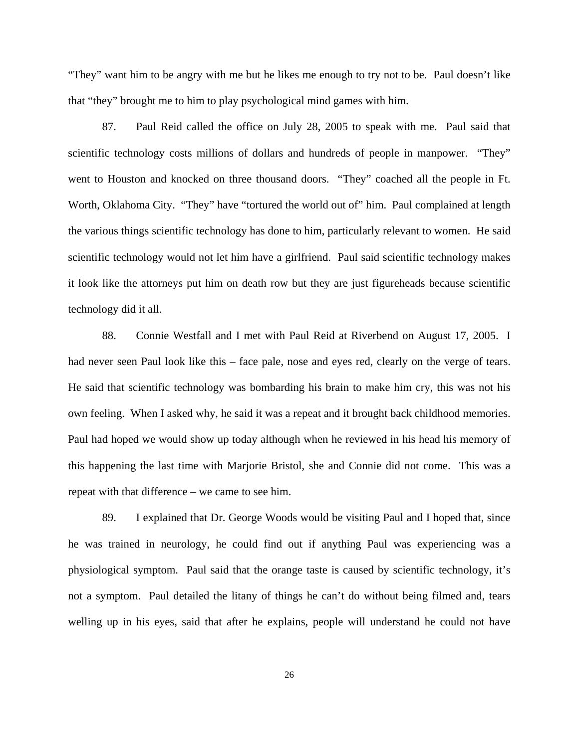"They" want him to be angry with me but he likes me enough to try not to be. Paul doesn't like that "they" brought me to him to play psychological mind games with him.

87. Paul Reid called the office on July 28, 2005 to speak with me. Paul said that scientific technology costs millions of dollars and hundreds of people in manpower. "They" went to Houston and knocked on three thousand doors. "They" coached all the people in Ft. Worth, Oklahoma City. "They" have "tortured the world out of" him. Paul complained at length the various things scientific technology has done to him, particularly relevant to women. He said scientific technology would not let him have a girlfriend. Paul said scientific technology makes it look like the attorneys put him on death row but they are just figureheads because scientific technology did it all.

88. Connie Westfall and I met with Paul Reid at Riverbend on August 17, 2005. I had never seen Paul look like this – face pale, nose and eyes red, clearly on the verge of tears. He said that scientific technology was bombarding his brain to make him cry, this was not his own feeling. When I asked why, he said it was a repeat and it brought back childhood memories. Paul had hoped we would show up today although when he reviewed in his head his memory of this happening the last time with Marjorie Bristol, she and Connie did not come. This was a repeat with that difference – we came to see him.

89. I explained that Dr. George Woods would be visiting Paul and I hoped that, since he was trained in neurology, he could find out if anything Paul was experiencing was a physiological symptom. Paul said that the orange taste is caused by scientific technology, it's not a symptom. Paul detailed the litany of things he can't do without being filmed and, tears welling up in his eyes, said that after he explains, people will understand he could not have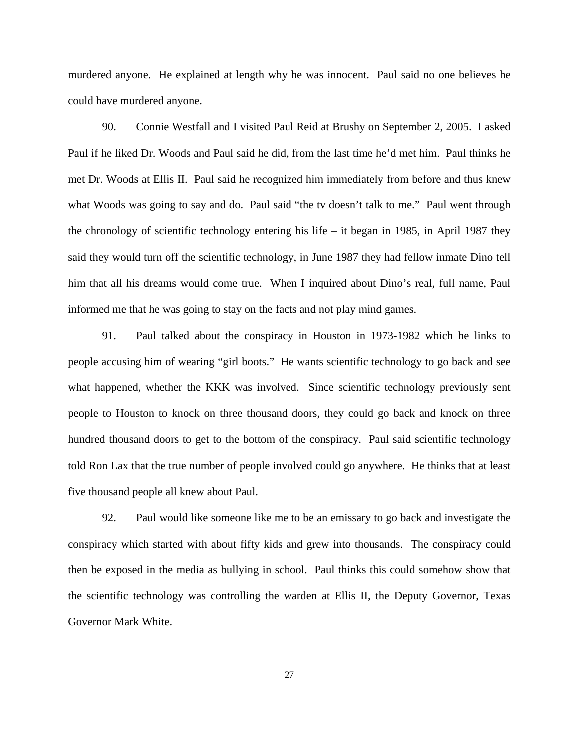murdered anyone. He explained at length why he was innocent. Paul said no one believes he could have murdered anyone.

90. Connie Westfall and I visited Paul Reid at Brushy on September 2, 2005. I asked Paul if he liked Dr. Woods and Paul said he did, from the last time he'd met him. Paul thinks he met Dr. Woods at Ellis II. Paul said he recognized him immediately from before and thus knew what Woods was going to say and do. Paul said "the tv doesn't talk to me." Paul went through the chronology of scientific technology entering his life – it began in 1985, in April 1987 they said they would turn off the scientific technology, in June 1987 they had fellow inmate Dino tell him that all his dreams would come true. When I inquired about Dino's real, full name, Paul informed me that he was going to stay on the facts and not play mind games.

91. Paul talked about the conspiracy in Houston in 1973-1982 which he links to people accusing him of wearing "girl boots." He wants scientific technology to go back and see what happened, whether the KKK was involved. Since scientific technology previously sent people to Houston to knock on three thousand doors, they could go back and knock on three hundred thousand doors to get to the bottom of the conspiracy. Paul said scientific technology told Ron Lax that the true number of people involved could go anywhere. He thinks that at least five thousand people all knew about Paul.

92. Paul would like someone like me to be an emissary to go back and investigate the conspiracy which started with about fifty kids and grew into thousands. The conspiracy could then be exposed in the media as bullying in school. Paul thinks this could somehow show that the scientific technology was controlling the warden at Ellis II, the Deputy Governor, Texas Governor Mark White.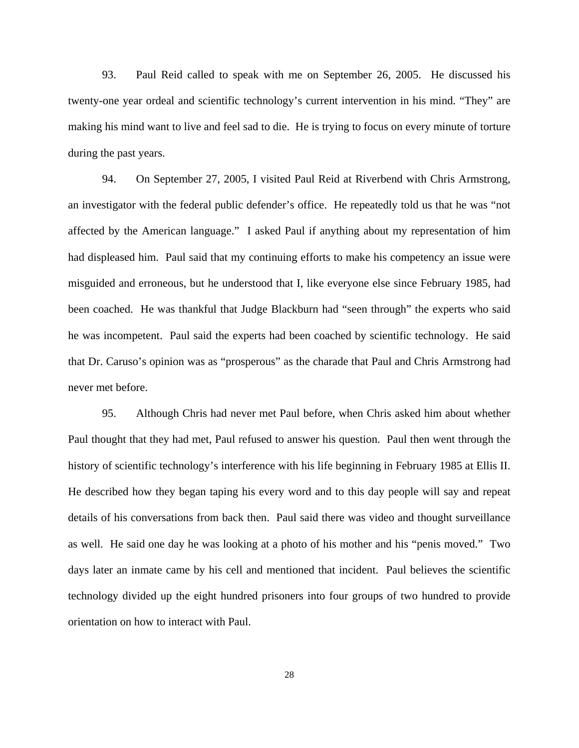93. Paul Reid called to speak with me on September 26, 2005. He discussed his twenty-one year ordeal and scientific technology's current intervention in his mind. "They" are making his mind want to live and feel sad to die. He is trying to focus on every minute of torture during the past years.

94. On September 27, 2005, I visited Paul Reid at Riverbend with Chris Armstrong, an investigator with the federal public defender's office. He repeatedly told us that he was "not affected by the American language." I asked Paul if anything about my representation of him had displeased him. Paul said that my continuing efforts to make his competency an issue were misguided and erroneous, but he understood that I, like everyone else since February 1985, had been coached. He was thankful that Judge Blackburn had "seen through" the experts who said he was incompetent. Paul said the experts had been coached by scientific technology. He said that Dr. Caruso's opinion was as "prosperous" as the charade that Paul and Chris Armstrong had never met before.

95. Although Chris had never met Paul before, when Chris asked him about whether Paul thought that they had met, Paul refused to answer his question. Paul then went through the history of scientific technology's interference with his life beginning in February 1985 at Ellis II. He described how they began taping his every word and to this day people will say and repeat details of his conversations from back then. Paul said there was video and thought surveillance as well. He said one day he was looking at a photo of his mother and his "penis moved." Two days later an inmate came by his cell and mentioned that incident. Paul believes the scientific technology divided up the eight hundred prisoners into four groups of two hundred to provide orientation on how to interact with Paul.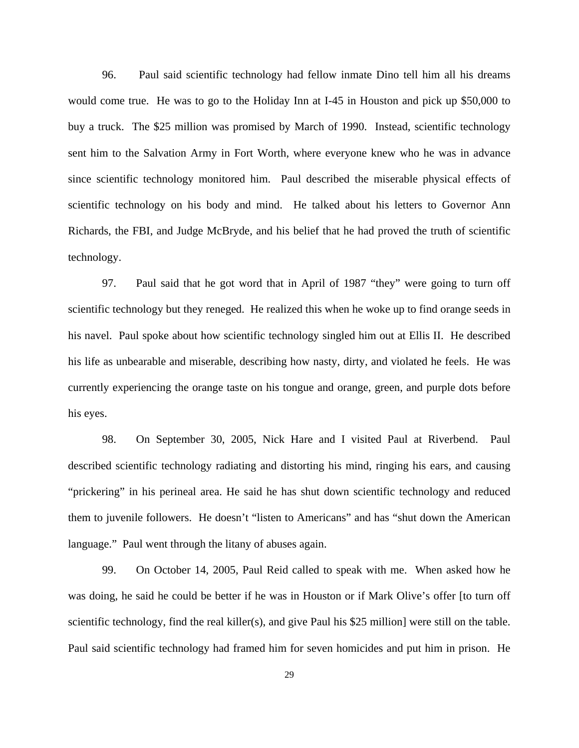96. Paul said scientific technology had fellow inmate Dino tell him all his dreams would come true. He was to go to the Holiday Inn at I-45 in Houston and pick up \$50,000 to buy a truck. The \$25 million was promised by March of 1990. Instead, scientific technology sent him to the Salvation Army in Fort Worth, where everyone knew who he was in advance since scientific technology monitored him. Paul described the miserable physical effects of scientific technology on his body and mind. He talked about his letters to Governor Ann Richards, the FBI, and Judge McBryde, and his belief that he had proved the truth of scientific technology.

97. Paul said that he got word that in April of 1987 "they" were going to turn off scientific technology but they reneged. He realized this when he woke up to find orange seeds in his navel. Paul spoke about how scientific technology singled him out at Ellis II. He described his life as unbearable and miserable, describing how nasty, dirty, and violated he feels. He was currently experiencing the orange taste on his tongue and orange, green, and purple dots before his eyes.

98. On September 30, 2005, Nick Hare and I visited Paul at Riverbend. Paul described scientific technology radiating and distorting his mind, ringing his ears, and causing "prickering" in his perineal area. He said he has shut down scientific technology and reduced them to juvenile followers. He doesn't "listen to Americans" and has "shut down the American language." Paul went through the litany of abuses again.

99. On October 14, 2005, Paul Reid called to speak with me. When asked how he was doing, he said he could be better if he was in Houston or if Mark Olive's offer [to turn off scientific technology, find the real killer(s), and give Paul his \$25 million] were still on the table. Paul said scientific technology had framed him for seven homicides and put him in prison. He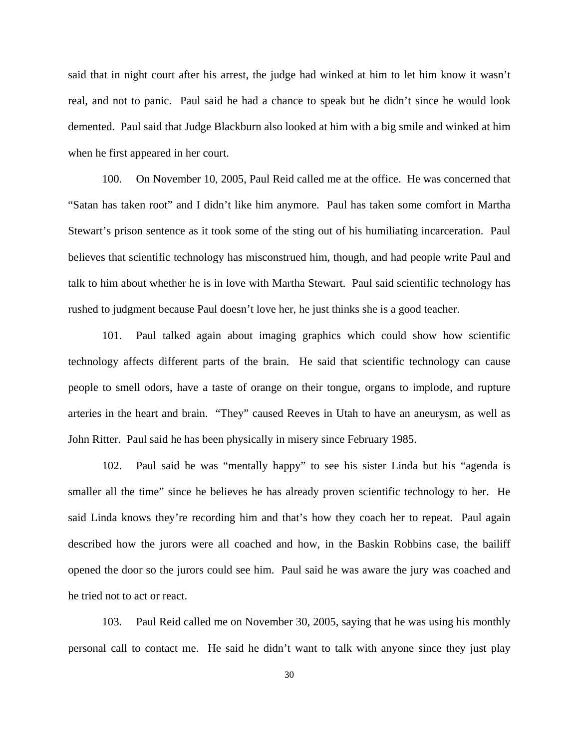said that in night court after his arrest, the judge had winked at him to let him know it wasn't real, and not to panic. Paul said he had a chance to speak but he didn't since he would look demented. Paul said that Judge Blackburn also looked at him with a big smile and winked at him when he first appeared in her court.

100. On November 10, 2005, Paul Reid called me at the office. He was concerned that "Satan has taken root" and I didn't like him anymore. Paul has taken some comfort in Martha Stewart's prison sentence as it took some of the sting out of his humiliating incarceration. Paul believes that scientific technology has misconstrued him, though, and had people write Paul and talk to him about whether he is in love with Martha Stewart. Paul said scientific technology has rushed to judgment because Paul doesn't love her, he just thinks she is a good teacher.

101. Paul talked again about imaging graphics which could show how scientific technology affects different parts of the brain. He said that scientific technology can cause people to smell odors, have a taste of orange on their tongue, organs to implode, and rupture arteries in the heart and brain. "They" caused Reeves in Utah to have an aneurysm, as well as John Ritter. Paul said he has been physically in misery since February 1985.

102. Paul said he was "mentally happy" to see his sister Linda but his "agenda is smaller all the time" since he believes he has already proven scientific technology to her. He said Linda knows they're recording him and that's how they coach her to repeat. Paul again described how the jurors were all coached and how, in the Baskin Robbins case, the bailiff opened the door so the jurors could see him. Paul said he was aware the jury was coached and he tried not to act or react.

103. Paul Reid called me on November 30, 2005, saying that he was using his monthly personal call to contact me. He said he didn't want to talk with anyone since they just play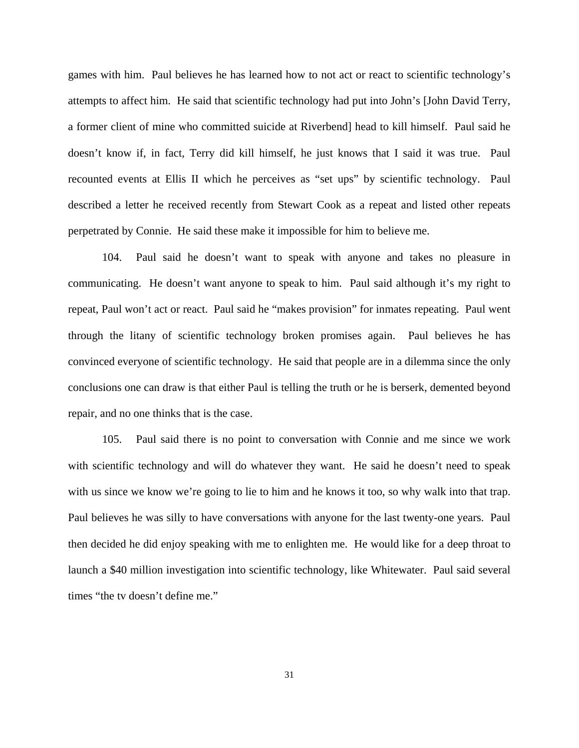games with him. Paul believes he has learned how to not act or react to scientific technology's attempts to affect him. He said that scientific technology had put into John's [John David Terry, a former client of mine who committed suicide at Riverbend] head to kill himself. Paul said he doesn't know if, in fact, Terry did kill himself, he just knows that I said it was true. Paul recounted events at Ellis II which he perceives as "set ups" by scientific technology. Paul described a letter he received recently from Stewart Cook as a repeat and listed other repeats perpetrated by Connie. He said these make it impossible for him to believe me.

104. Paul said he doesn't want to speak with anyone and takes no pleasure in communicating. He doesn't want anyone to speak to him. Paul said although it's my right to repeat, Paul won't act or react. Paul said he "makes provision" for inmates repeating. Paul went through the litany of scientific technology broken promises again. Paul believes he has convinced everyone of scientific technology. He said that people are in a dilemma since the only conclusions one can draw is that either Paul is telling the truth or he is berserk, demented beyond repair, and no one thinks that is the case.

105. Paul said there is no point to conversation with Connie and me since we work with scientific technology and will do whatever they want. He said he doesn't need to speak with us since we know we're going to lie to him and he knows it too, so why walk into that trap. Paul believes he was silly to have conversations with anyone for the last twenty-one years. Paul then decided he did enjoy speaking with me to enlighten me. He would like for a deep throat to launch a \$40 million investigation into scientific technology, like Whitewater. Paul said several times "the tv doesn't define me."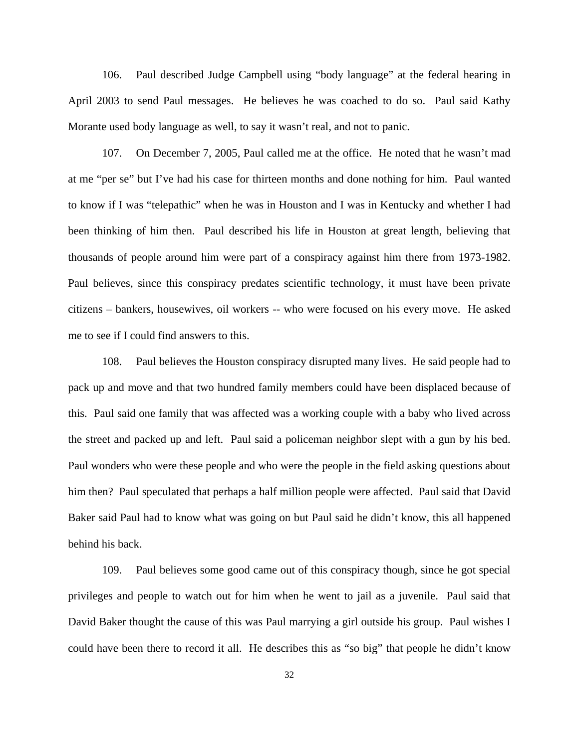106. Paul described Judge Campbell using "body language" at the federal hearing in April 2003 to send Paul messages. He believes he was coached to do so. Paul said Kathy Morante used body language as well, to say it wasn't real, and not to panic.

107. On December 7, 2005, Paul called me at the office. He noted that he wasn't mad at me "per se" but I've had his case for thirteen months and done nothing for him. Paul wanted to know if I was "telepathic" when he was in Houston and I was in Kentucky and whether I had been thinking of him then. Paul described his life in Houston at great length, believing that thousands of people around him were part of a conspiracy against him there from 1973-1982. Paul believes, since this conspiracy predates scientific technology, it must have been private citizens – bankers, housewives, oil workers -- who were focused on his every move. He asked me to see if I could find answers to this.

108. Paul believes the Houston conspiracy disrupted many lives. He said people had to pack up and move and that two hundred family members could have been displaced because of this. Paul said one family that was affected was a working couple with a baby who lived across the street and packed up and left. Paul said a policeman neighbor slept with a gun by his bed. Paul wonders who were these people and who were the people in the field asking questions about him then? Paul speculated that perhaps a half million people were affected. Paul said that David Baker said Paul had to know what was going on but Paul said he didn't know, this all happened behind his back.

109. Paul believes some good came out of this conspiracy though, since he got special privileges and people to watch out for him when he went to jail as a juvenile. Paul said that David Baker thought the cause of this was Paul marrying a girl outside his group. Paul wishes I could have been there to record it all. He describes this as "so big" that people he didn't know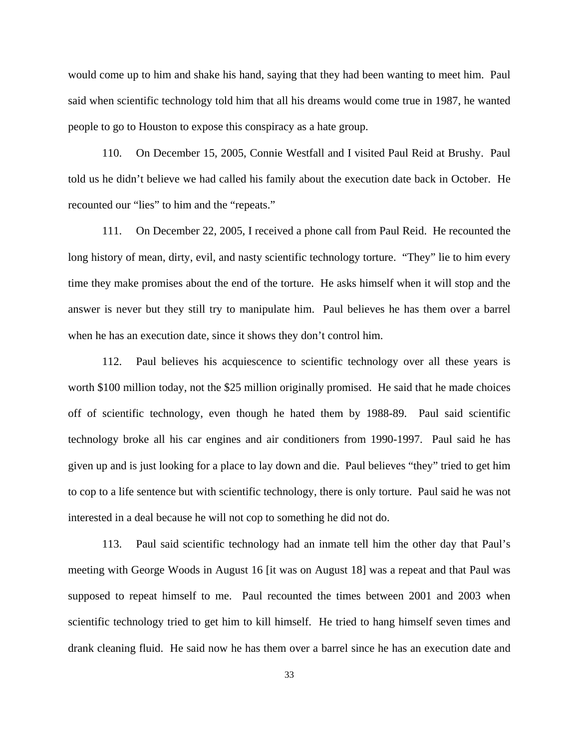would come up to him and shake his hand, saying that they had been wanting to meet him. Paul said when scientific technology told him that all his dreams would come true in 1987, he wanted people to go to Houston to expose this conspiracy as a hate group.

110. On December 15, 2005, Connie Westfall and I visited Paul Reid at Brushy. Paul told us he didn't believe we had called his family about the execution date back in October. He recounted our "lies" to him and the "repeats."

111. On December 22, 2005, I received a phone call from Paul Reid. He recounted the long history of mean, dirty, evil, and nasty scientific technology torture. "They" lie to him every time they make promises about the end of the torture. He asks himself when it will stop and the answer is never but they still try to manipulate him. Paul believes he has them over a barrel when he has an execution date, since it shows they don't control him.

112. Paul believes his acquiescence to scientific technology over all these years is worth \$100 million today, not the \$25 million originally promised. He said that he made choices off of scientific technology, even though he hated them by 1988-89. Paul said scientific technology broke all his car engines and air conditioners from 1990-1997. Paul said he has given up and is just looking for a place to lay down and die. Paul believes "they" tried to get him to cop to a life sentence but with scientific technology, there is only torture. Paul said he was not interested in a deal because he will not cop to something he did not do.

113. Paul said scientific technology had an inmate tell him the other day that Paul's meeting with George Woods in August 16 [it was on August 18] was a repeat and that Paul was supposed to repeat himself to me. Paul recounted the times between 2001 and 2003 when scientific technology tried to get him to kill himself. He tried to hang himself seven times and drank cleaning fluid. He said now he has them over a barrel since he has an execution date and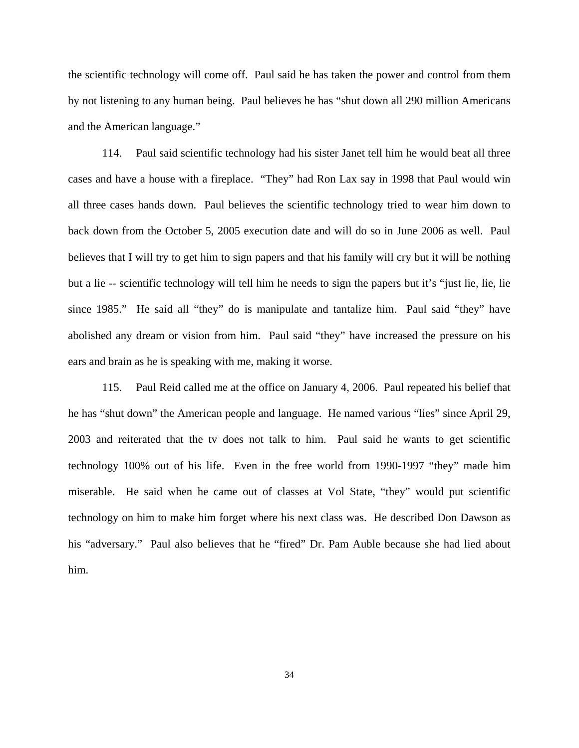the scientific technology will come off. Paul said he has taken the power and control from them by not listening to any human being. Paul believes he has "shut down all 290 million Americans and the American language."

114. Paul said scientific technology had his sister Janet tell him he would beat all three cases and have a house with a fireplace. "They" had Ron Lax say in 1998 that Paul would win all three cases hands down. Paul believes the scientific technology tried to wear him down to back down from the October 5, 2005 execution date and will do so in June 2006 as well. Paul believes that I will try to get him to sign papers and that his family will cry but it will be nothing but a lie -- scientific technology will tell him he needs to sign the papers but it's "just lie, lie, lie since 1985." He said all "they" do is manipulate and tantalize him. Paul said "they" have abolished any dream or vision from him. Paul said "they" have increased the pressure on his ears and brain as he is speaking with me, making it worse.

115. Paul Reid called me at the office on January 4, 2006. Paul repeated his belief that he has "shut down" the American people and language. He named various "lies" since April 29, 2003 and reiterated that the tv does not talk to him. Paul said he wants to get scientific technology 100% out of his life. Even in the free world from 1990-1997 "they" made him miserable. He said when he came out of classes at Vol State, "they" would put scientific technology on him to make him forget where his next class was. He described Don Dawson as his "adversary." Paul also believes that he "fired" Dr. Pam Auble because she had lied about him.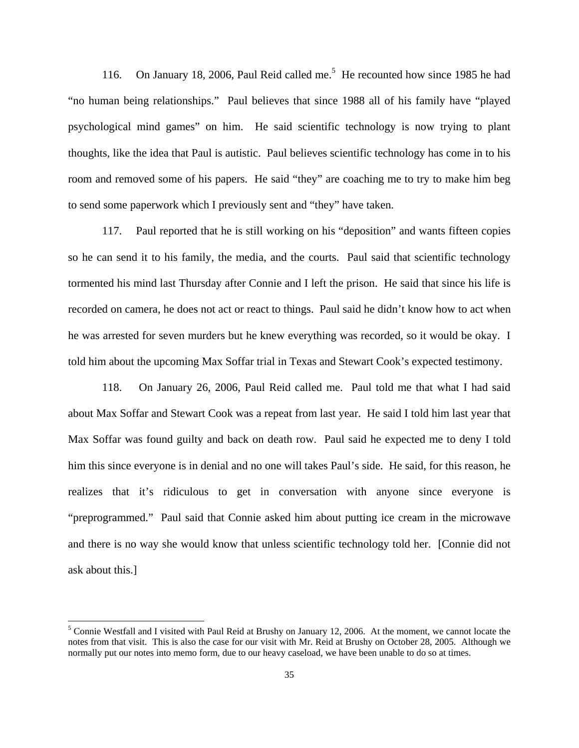116. On January 18, 2006, Paul Reid called me.<sup>[5](#page-34-0)</sup> He recounted how since 1985 he had "no human being relationships." Paul believes that since 1988 all of his family have "played psychological mind games" on him. He said scientific technology is now trying to plant thoughts, like the idea that Paul is autistic. Paul believes scientific technology has come in to his room and removed some of his papers. He said "they" are coaching me to try to make him beg to send some paperwork which I previously sent and "they" have taken.

117. Paul reported that he is still working on his "deposition" and wants fifteen copies so he can send it to his family, the media, and the courts. Paul said that scientific technology tormented his mind last Thursday after Connie and I left the prison. He said that since his life is recorded on camera, he does not act or react to things. Paul said he didn't know how to act when he was arrested for seven murders but he knew everything was recorded, so it would be okay. I told him about the upcoming Max Soffar trial in Texas and Stewart Cook's expected testimony.

118. On January 26, 2006, Paul Reid called me. Paul told me that what I had said about Max Soffar and Stewart Cook was a repeat from last year. He said I told him last year that Max Soffar was found guilty and back on death row. Paul said he expected me to deny I told him this since everyone is in denial and no one will takes Paul's side. He said, for this reason, he realizes that it's ridiculous to get in conversation with anyone since everyone is "preprogrammed." Paul said that Connie asked him about putting ice cream in the microwave and there is no way she would know that unless scientific technology told her. [Connie did not ask about this.]

 $\overline{\phantom{a}}$ 

<span id="page-34-0"></span><sup>&</sup>lt;sup>5</sup> Connie Westfall and I visited with Paul Reid at Brushy on January 12, 2006. At the moment, we cannot locate the notes from that visit. This is also the case for our visit with Mr. Reid at Brushy on October 28, 2005. Although we normally put our notes into memo form, due to our heavy caseload, we have been unable to do so at times.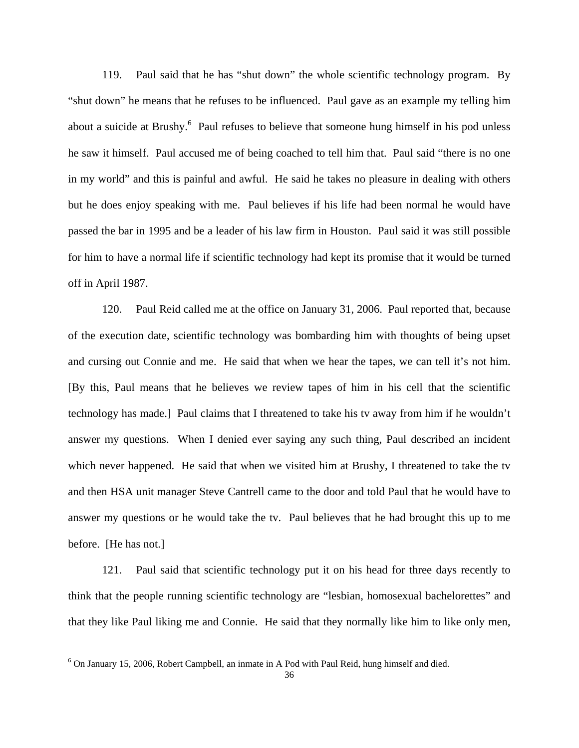119. Paul said that he has "shut down" the whole scientific technology program. By "shut down" he means that he refuses to be influenced. Paul gave as an example my telling him about a suicide at Brushy.<sup>[6](#page-35-0)</sup> Paul refuses to believe that someone hung himself in his pod unless he saw it himself. Paul accused me of being coached to tell him that. Paul said "there is no one in my world" and this is painful and awful. He said he takes no pleasure in dealing with others but he does enjoy speaking with me. Paul believes if his life had been normal he would have passed the bar in 1995 and be a leader of his law firm in Houston. Paul said it was still possible for him to have a normal life if scientific technology had kept its promise that it would be turned off in April 1987.

120. Paul Reid called me at the office on January 31, 2006. Paul reported that, because of the execution date, scientific technology was bombarding him with thoughts of being upset and cursing out Connie and me. He said that when we hear the tapes, we can tell it's not him. [By this, Paul means that he believes we review tapes of him in his cell that the scientific technology has made.] Paul claims that I threatened to take his tv away from him if he wouldn't answer my questions. When I denied ever saying any such thing, Paul described an incident which never happened. He said that when we visited him at Brushy, I threatened to take the tv and then HSA unit manager Steve Cantrell came to the door and told Paul that he would have to answer my questions or he would take the tv. Paul believes that he had brought this up to me before. [He has not.]

121. Paul said that scientific technology put it on his head for three days recently to think that the people running scientific technology are "lesbian, homosexual bachelorettes" and that they like Paul liking me and Connie. He said that they normally like him to like only men,

<span id="page-35-0"></span><sup>&</sup>lt;sup>6</sup> On January 15, 2006, Robert Campbell, an inmate in A Pod with Paul Reid, hung himself and died.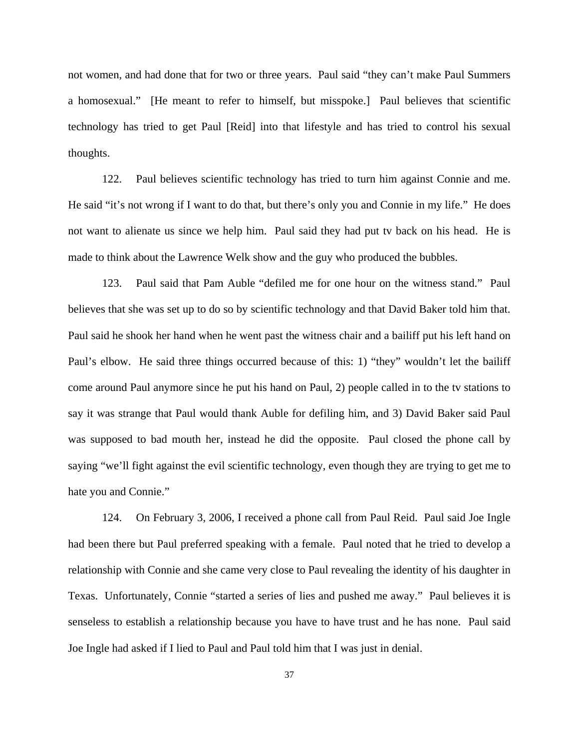not women, and had done that for two or three years. Paul said "they can't make Paul Summers a homosexual." [He meant to refer to himself, but misspoke.] Paul believes that scientific technology has tried to get Paul [Reid] into that lifestyle and has tried to control his sexual thoughts.

122. Paul believes scientific technology has tried to turn him against Connie and me. He said "it's not wrong if I want to do that, but there's only you and Connie in my life." He does not want to alienate us since we help him. Paul said they had put tv back on his head. He is made to think about the Lawrence Welk show and the guy who produced the bubbles.

123. Paul said that Pam Auble "defiled me for one hour on the witness stand." Paul believes that she was set up to do so by scientific technology and that David Baker told him that. Paul said he shook her hand when he went past the witness chair and a bailiff put his left hand on Paul's elbow. He said three things occurred because of this: 1) "they" wouldn't let the bailiff come around Paul anymore since he put his hand on Paul, 2) people called in to the tv stations to say it was strange that Paul would thank Auble for defiling him, and 3) David Baker said Paul was supposed to bad mouth her, instead he did the opposite. Paul closed the phone call by saying "we'll fight against the evil scientific technology, even though they are trying to get me to hate you and Connie."

124. On February 3, 2006, I received a phone call from Paul Reid. Paul said Joe Ingle had been there but Paul preferred speaking with a female. Paul noted that he tried to develop a relationship with Connie and she came very close to Paul revealing the identity of his daughter in Texas. Unfortunately, Connie "started a series of lies and pushed me away." Paul believes it is senseless to establish a relationship because you have to have trust and he has none. Paul said Joe Ingle had asked if I lied to Paul and Paul told him that I was just in denial.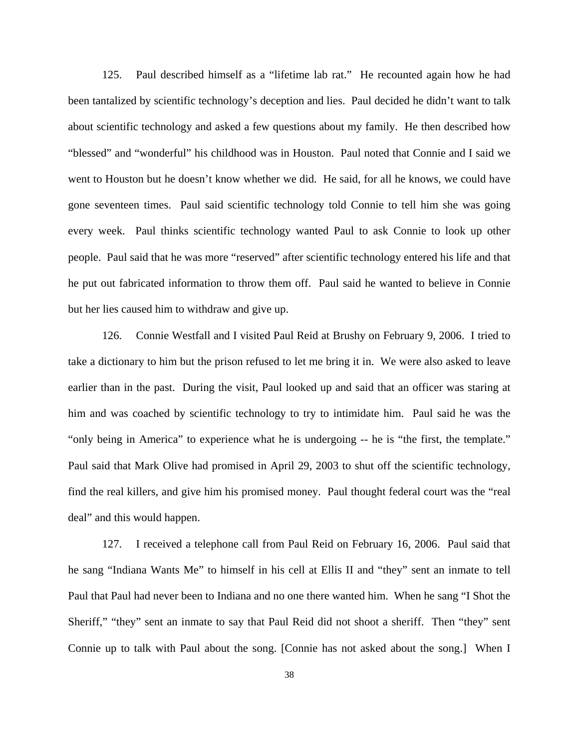125. Paul described himself as a "lifetime lab rat." He recounted again how he had been tantalized by scientific technology's deception and lies. Paul decided he didn't want to talk about scientific technology and asked a few questions about my family. He then described how "blessed" and "wonderful" his childhood was in Houston. Paul noted that Connie and I said we went to Houston but he doesn't know whether we did. He said, for all he knows, we could have gone seventeen times. Paul said scientific technology told Connie to tell him she was going every week. Paul thinks scientific technology wanted Paul to ask Connie to look up other people. Paul said that he was more "reserved" after scientific technology entered his life and that he put out fabricated information to throw them off. Paul said he wanted to believe in Connie but her lies caused him to withdraw and give up.

126. Connie Westfall and I visited Paul Reid at Brushy on February 9, 2006. I tried to take a dictionary to him but the prison refused to let me bring it in. We were also asked to leave earlier than in the past. During the visit, Paul looked up and said that an officer was staring at him and was coached by scientific technology to try to intimidate him. Paul said he was the "only being in America" to experience what he is undergoing -- he is "the first, the template." Paul said that Mark Olive had promised in April 29, 2003 to shut off the scientific technology, find the real killers, and give him his promised money. Paul thought federal court was the "real deal" and this would happen.

127. I received a telephone call from Paul Reid on February 16, 2006. Paul said that he sang "Indiana Wants Me" to himself in his cell at Ellis II and "they" sent an inmate to tell Paul that Paul had never been to Indiana and no one there wanted him. When he sang "I Shot the Sheriff," "they" sent an inmate to say that Paul Reid did not shoot a sheriff. Then "they" sent Connie up to talk with Paul about the song. [Connie has not asked about the song.] When I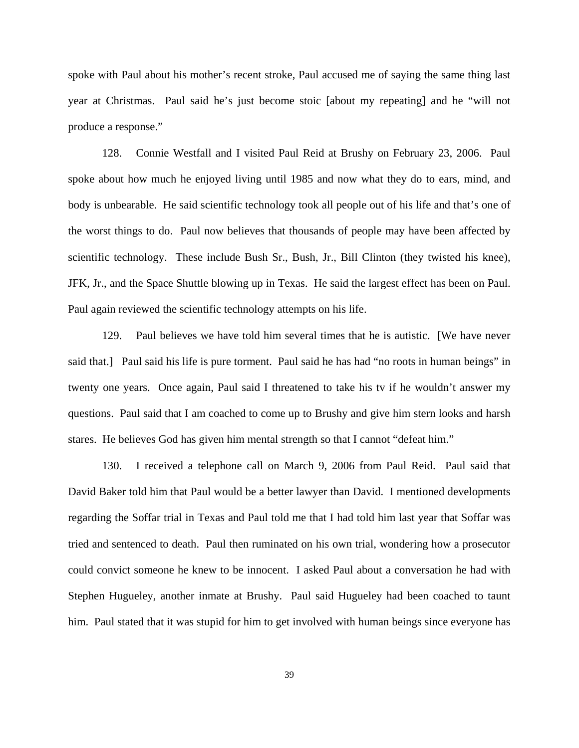spoke with Paul about his mother's recent stroke, Paul accused me of saying the same thing last year at Christmas. Paul said he's just become stoic [about my repeating] and he "will not produce a response."

128. Connie Westfall and I visited Paul Reid at Brushy on February 23, 2006. Paul spoke about how much he enjoyed living until 1985 and now what they do to ears, mind, and body is unbearable. He said scientific technology took all people out of his life and that's one of the worst things to do. Paul now believes that thousands of people may have been affected by scientific technology. These include Bush Sr., Bush, Jr., Bill Clinton (they twisted his knee), JFK, Jr., and the Space Shuttle blowing up in Texas. He said the largest effect has been on Paul. Paul again reviewed the scientific technology attempts on his life.

129. Paul believes we have told him several times that he is autistic. [We have never said that.] Paul said his life is pure torment. Paul said he has had "no roots in human beings" in twenty one years. Once again, Paul said I threatened to take his tv if he wouldn't answer my questions. Paul said that I am coached to come up to Brushy and give him stern looks and harsh stares. He believes God has given him mental strength so that I cannot "defeat him."

130. I received a telephone call on March 9, 2006 from Paul Reid. Paul said that David Baker told him that Paul would be a better lawyer than David. I mentioned developments regarding the Soffar trial in Texas and Paul told me that I had told him last year that Soffar was tried and sentenced to death. Paul then ruminated on his own trial, wondering how a prosecutor could convict someone he knew to be innocent. I asked Paul about a conversation he had with Stephen Hugueley, another inmate at Brushy. Paul said Hugueley had been coached to taunt him. Paul stated that it was stupid for him to get involved with human beings since everyone has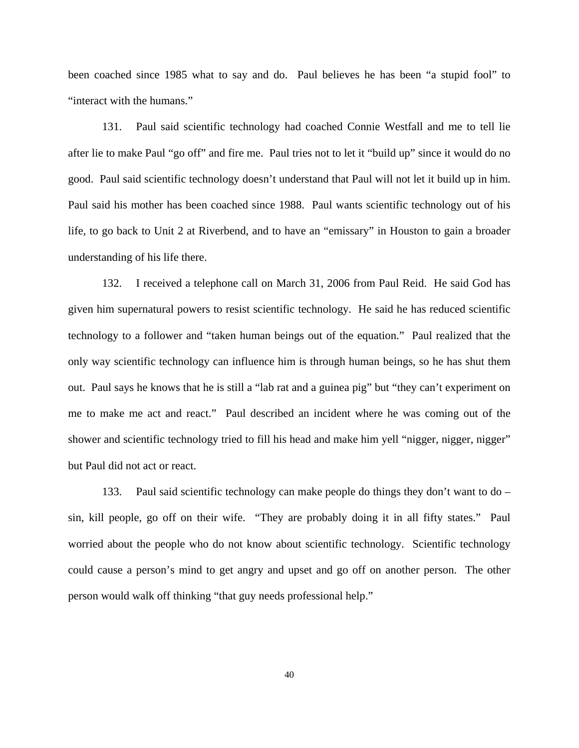been coached since 1985 what to say and do. Paul believes he has been "a stupid fool" to "interact with the humans."

131. Paul said scientific technology had coached Connie Westfall and me to tell lie after lie to make Paul "go off" and fire me. Paul tries not to let it "build up" since it would do no good. Paul said scientific technology doesn't understand that Paul will not let it build up in him. Paul said his mother has been coached since 1988. Paul wants scientific technology out of his life, to go back to Unit 2 at Riverbend, and to have an "emissary" in Houston to gain a broader understanding of his life there.

132. I received a telephone call on March 31, 2006 from Paul Reid. He said God has given him supernatural powers to resist scientific technology. He said he has reduced scientific technology to a follower and "taken human beings out of the equation." Paul realized that the only way scientific technology can influence him is through human beings, so he has shut them out. Paul says he knows that he is still a "lab rat and a guinea pig" but "they can't experiment on me to make me act and react." Paul described an incident where he was coming out of the shower and scientific technology tried to fill his head and make him yell "nigger, nigger, nigger" but Paul did not act or react.

133. Paul said scientific technology can make people do things they don't want to do – sin, kill people, go off on their wife. "They are probably doing it in all fifty states." Paul worried about the people who do not know about scientific technology. Scientific technology could cause a person's mind to get angry and upset and go off on another person. The other person would walk off thinking "that guy needs professional help."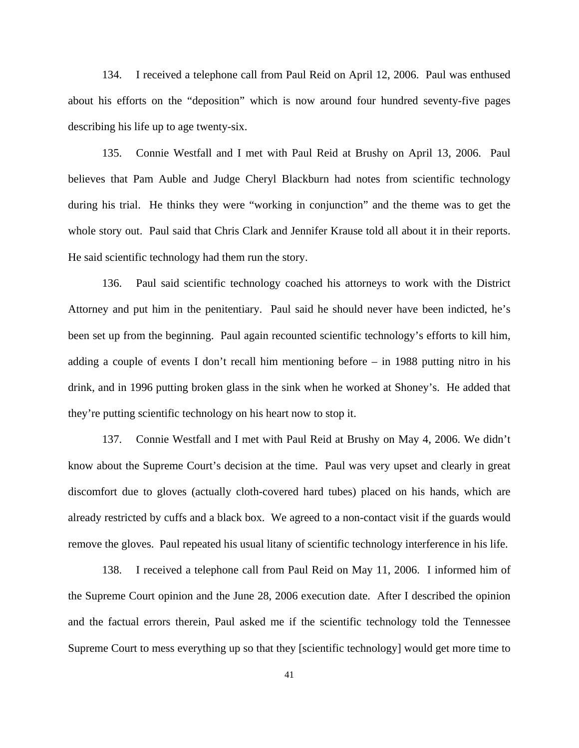134. I received a telephone call from Paul Reid on April 12, 2006. Paul was enthused about his efforts on the "deposition" which is now around four hundred seventy-five pages describing his life up to age twenty-six.

135. Connie Westfall and I met with Paul Reid at Brushy on April 13, 2006. Paul believes that Pam Auble and Judge Cheryl Blackburn had notes from scientific technology during his trial. He thinks they were "working in conjunction" and the theme was to get the whole story out. Paul said that Chris Clark and Jennifer Krause told all about it in their reports. He said scientific technology had them run the story.

136. Paul said scientific technology coached his attorneys to work with the District Attorney and put him in the penitentiary. Paul said he should never have been indicted, he's been set up from the beginning. Paul again recounted scientific technology's efforts to kill him, adding a couple of events I don't recall him mentioning before – in 1988 putting nitro in his drink, and in 1996 putting broken glass in the sink when he worked at Shoney's. He added that they're putting scientific technology on his heart now to stop it.

137. Connie Westfall and I met with Paul Reid at Brushy on May 4, 2006. We didn't know about the Supreme Court's decision at the time. Paul was very upset and clearly in great discomfort due to gloves (actually cloth-covered hard tubes) placed on his hands, which are already restricted by cuffs and a black box. We agreed to a non-contact visit if the guards would remove the gloves. Paul repeated his usual litany of scientific technology interference in his life.

138. I received a telephone call from Paul Reid on May 11, 2006. I informed him of the Supreme Court opinion and the June 28, 2006 execution date. After I described the opinion and the factual errors therein, Paul asked me if the scientific technology told the Tennessee Supreme Court to mess everything up so that they [scientific technology] would get more time to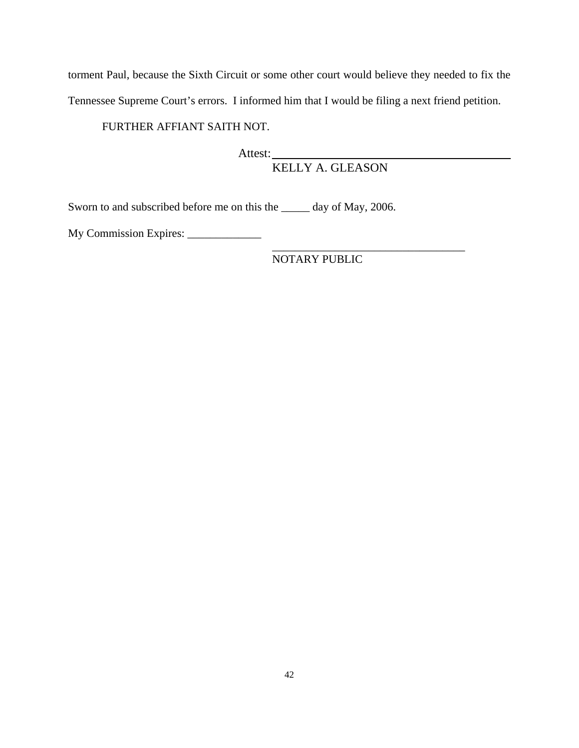torment Paul, because the Sixth Circuit or some other court would believe they needed to fix the Tennessee Supreme Court's errors. I informed him that I would be filing a next friend petition.

FURTHER AFFIANT SAITH NOT.

Attest: KELLY A. GLEASON

Sworn to and subscribed before me on this the \_\_\_\_\_ day of May, 2006.

 $\overline{\phantom{a}}$  , which is a set of the set of the set of the set of the set of the set of the set of the set of the set of the set of the set of the set of the set of the set of the set of the set of the set of the set of th

My Commission Expires: \_\_\_\_\_\_\_\_\_\_\_\_\_

NOTARY PUBLIC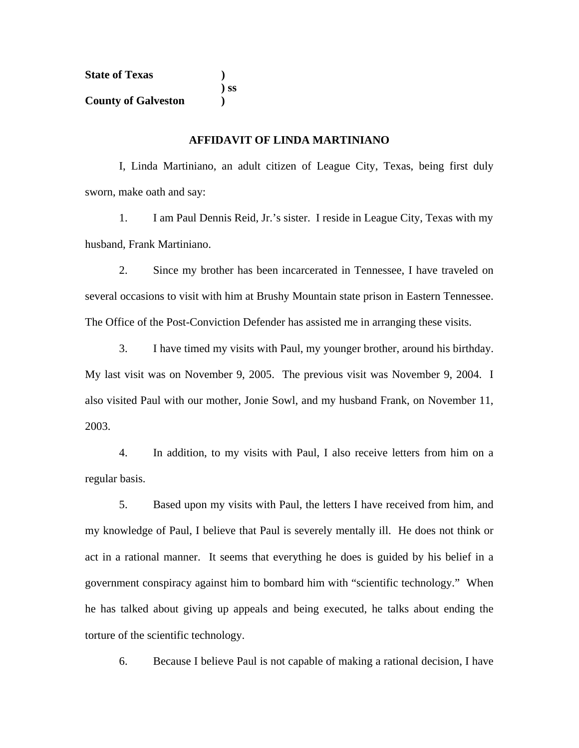| <b>State of Texas</b>      |        |
|----------------------------|--------|
|                            | $)$ SS |
| <b>County of Galveston</b> |        |

## **AFFIDAVIT OF LINDA MARTINIANO**

I, Linda Martiniano, an adult citizen of League City, Texas, being first duly sworn, make oath and say:

 1. I am Paul Dennis Reid, Jr.'s sister. I reside in League City, Texas with my husband, Frank Martiniano.

 2. Since my brother has been incarcerated in Tennessee, I have traveled on several occasions to visit with him at Brushy Mountain state prison in Eastern Tennessee. The Office of the Post-Conviction Defender has assisted me in arranging these visits.

 3. I have timed my visits with Paul, my younger brother, around his birthday. My last visit was on November 9, 2005. The previous visit was November 9, 2004. I also visited Paul with our mother, Jonie Sowl, and my husband Frank, on November 11, 2003.

 4. In addition, to my visits with Paul, I also receive letters from him on a regular basis.

 5. Based upon my visits with Paul, the letters I have received from him, and my knowledge of Paul, I believe that Paul is severely mentally ill. He does not think or act in a rational manner. It seems that everything he does is guided by his belief in a government conspiracy against him to bombard him with "scientific technology." When he has talked about giving up appeals and being executed, he talks about ending the torture of the scientific technology.

6. Because I believe Paul is not capable of making a rational decision, I have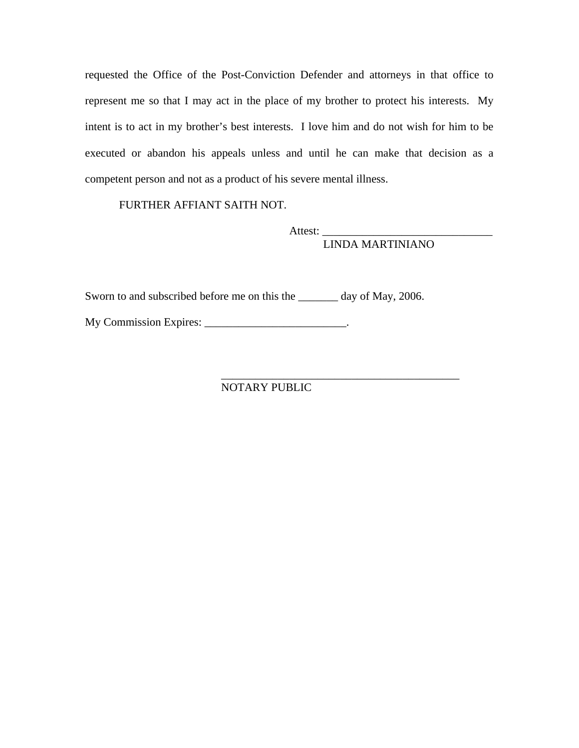requested the Office of the Post-Conviction Defender and attorneys in that office to represent me so that I may act in the place of my brother to protect his interests. My intent is to act in my brother's best interests. I love him and do not wish for him to be executed or abandon his appeals unless and until he can make that decision as a competent person and not as a product of his severe mental illness.

FURTHER AFFIANT SAITH NOT.

 Attest: \_\_\_\_\_\_\_\_\_\_\_\_\_\_\_\_\_\_\_\_\_\_\_\_\_\_\_\_\_\_ LINDA MARTINIANO

Sworn to and subscribed before me on this the \_\_\_\_\_\_\_ day of May, 2006.

My Commission Expires: \_\_\_\_\_\_\_\_\_\_\_\_\_\_\_\_\_\_\_\_\_\_\_\_\_\_.

NOTARY PUBLIC

 $\frac{1}{\sqrt{2}}$  ,  $\frac{1}{\sqrt{2}}$  ,  $\frac{1}{\sqrt{2}}$  ,  $\frac{1}{\sqrt{2}}$  ,  $\frac{1}{\sqrt{2}}$  ,  $\frac{1}{\sqrt{2}}$  ,  $\frac{1}{\sqrt{2}}$  ,  $\frac{1}{\sqrt{2}}$  ,  $\frac{1}{\sqrt{2}}$  ,  $\frac{1}{\sqrt{2}}$  ,  $\frac{1}{\sqrt{2}}$  ,  $\frac{1}{\sqrt{2}}$  ,  $\frac{1}{\sqrt{2}}$  ,  $\frac{1}{\sqrt{2}}$  ,  $\frac{1}{\sqrt{2}}$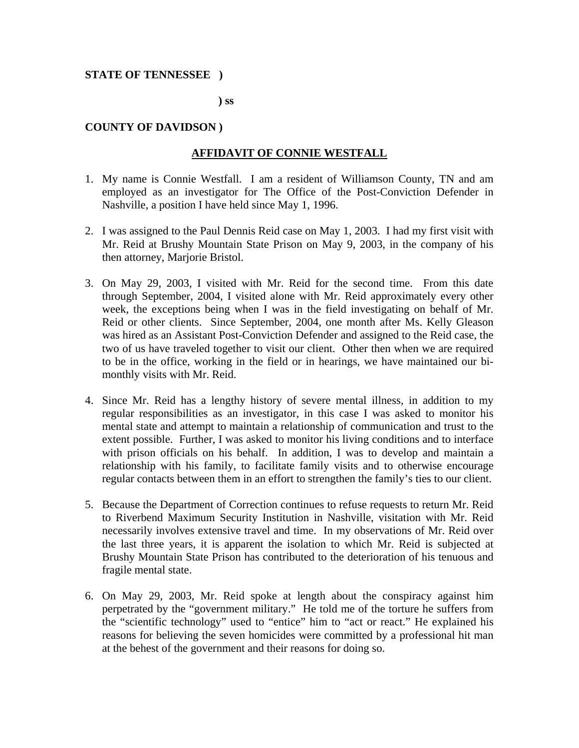## **STATE OF TENNESSEE )**

 **) ss** 

# **COUNTY OF DAVIDSON )**

# **AFFIDAVIT OF CONNIE WESTFALL**

- 1. My name is Connie Westfall. I am a resident of Williamson County, TN and am employed as an investigator for The Office of the Post-Conviction Defender in Nashville, a position I have held since May 1, 1996.
- 2. I was assigned to the Paul Dennis Reid case on May 1, 2003. I had my first visit with Mr. Reid at Brushy Mountain State Prison on May 9, 2003, in the company of his then attorney, Marjorie Bristol.
- 3. On May 29, 2003, I visited with Mr. Reid for the second time. From this date through September, 2004, I visited alone with Mr. Reid approximately every other week, the exceptions being when I was in the field investigating on behalf of Mr. Reid or other clients. Since September, 2004, one month after Ms. Kelly Gleason was hired as an Assistant Post-Conviction Defender and assigned to the Reid case, the two of us have traveled together to visit our client. Other then when we are required to be in the office, working in the field or in hearings, we have maintained our bimonthly visits with Mr. Reid.
- 4. Since Mr. Reid has a lengthy history of severe mental illness, in addition to my regular responsibilities as an investigator, in this case I was asked to monitor his mental state and attempt to maintain a relationship of communication and trust to the extent possible. Further, I was asked to monitor his living conditions and to interface with prison officials on his behalf. In addition, I was to develop and maintain a relationship with his family, to facilitate family visits and to otherwise encourage regular contacts between them in an effort to strengthen the family's ties to our client.
- 5. Because the Department of Correction continues to refuse requests to return Mr. Reid to Riverbend Maximum Security Institution in Nashville, visitation with Mr. Reid necessarily involves extensive travel and time. In my observations of Mr. Reid over the last three years, it is apparent the isolation to which Mr. Reid is subjected at Brushy Mountain State Prison has contributed to the deterioration of his tenuous and fragile mental state.
- 6. On May 29, 2003, Mr. Reid spoke at length about the conspiracy against him perpetrated by the "government military." He told me of the torture he suffers from the "scientific technology" used to "entice" him to "act or react." He explained his reasons for believing the seven homicides were committed by a professional hit man at the behest of the government and their reasons for doing so.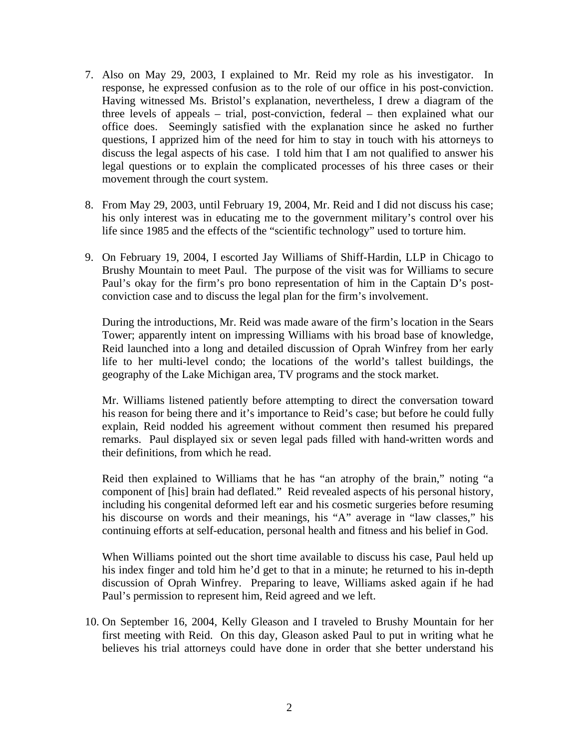- 7. Also on May 29, 2003, I explained to Mr. Reid my role as his investigator. In response, he expressed confusion as to the role of our office in his post-conviction. Having witnessed Ms. Bristol's explanation, nevertheless, I drew a diagram of the three levels of appeals – trial, post-conviction, federal – then explained what our office does. Seemingly satisfied with the explanation since he asked no further questions, I apprized him of the need for him to stay in touch with his attorneys to discuss the legal aspects of his case. I told him that I am not qualified to answer his legal questions or to explain the complicated processes of his three cases or their movement through the court system.
- 8. From May 29, 2003, until February 19, 2004, Mr. Reid and I did not discuss his case; his only interest was in educating me to the government military's control over his life since 1985 and the effects of the "scientific technology" used to torture him.
- 9. On February 19, 2004, I escorted Jay Williams of Shiff-Hardin, LLP in Chicago to Brushy Mountain to meet Paul. The purpose of the visit was for Williams to secure Paul's okay for the firm's pro bono representation of him in the Captain D's postconviction case and to discuss the legal plan for the firm's involvement.

During the introductions, Mr. Reid was made aware of the firm's location in the Sears Tower; apparently intent on impressing Williams with his broad base of knowledge, Reid launched into a long and detailed discussion of Oprah Winfrey from her early life to her multi-level condo; the locations of the world's tallest buildings, the geography of the Lake Michigan area, TV programs and the stock market.

Mr. Williams listened patiently before attempting to direct the conversation toward his reason for being there and it's importance to Reid's case; but before he could fully explain, Reid nodded his agreement without comment then resumed his prepared remarks. Paul displayed six or seven legal pads filled with hand-written words and their definitions, from which he read.

Reid then explained to Williams that he has "an atrophy of the brain," noting "a component of [his] brain had deflated." Reid revealed aspects of his personal history, including his congenital deformed left ear and his cosmetic surgeries before resuming his discourse on words and their meanings, his "A" average in "law classes," his continuing efforts at self-education, personal health and fitness and his belief in God.

When Williams pointed out the short time available to discuss his case, Paul held up his index finger and told him he'd get to that in a minute; he returned to his in-depth discussion of Oprah Winfrey. Preparing to leave, Williams asked again if he had Paul's permission to represent him, Reid agreed and we left.

10. On September 16, 2004, Kelly Gleason and I traveled to Brushy Mountain for her first meeting with Reid. On this day, Gleason asked Paul to put in writing what he believes his trial attorneys could have done in order that she better understand his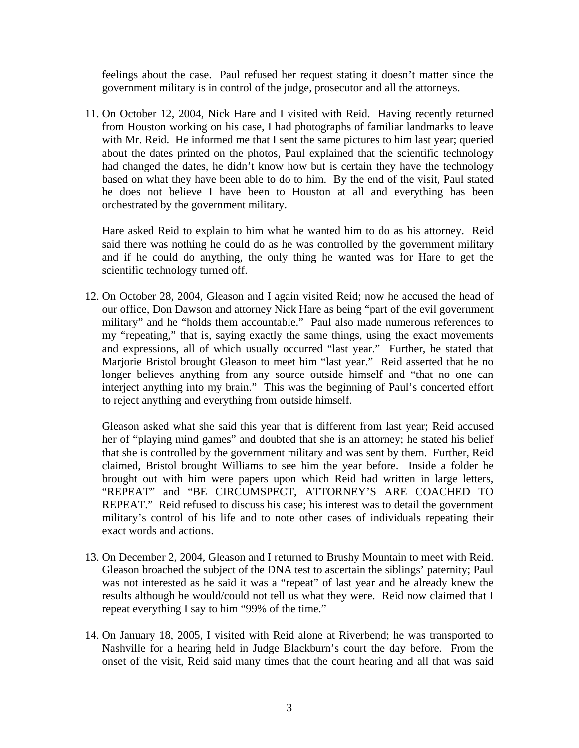feelings about the case. Paul refused her request stating it doesn't matter since the government military is in control of the judge, prosecutor and all the attorneys.

11. On October 12, 2004, Nick Hare and I visited with Reid. Having recently returned from Houston working on his case, I had photographs of familiar landmarks to leave with Mr. Reid. He informed me that I sent the same pictures to him last year; queried about the dates printed on the photos, Paul explained that the scientific technology had changed the dates, he didn't know how but is certain they have the technology based on what they have been able to do to him. By the end of the visit, Paul stated he does not believe I have been to Houston at all and everything has been orchestrated by the government military.

Hare asked Reid to explain to him what he wanted him to do as his attorney. Reid said there was nothing he could do as he was controlled by the government military and if he could do anything, the only thing he wanted was for Hare to get the scientific technology turned off.

12. On October 28, 2004, Gleason and I again visited Reid; now he accused the head of our office, Don Dawson and attorney Nick Hare as being "part of the evil government military" and he "holds them accountable." Paul also made numerous references to my "repeating," that is, saying exactly the same things, using the exact movements and expressions, all of which usually occurred "last year." Further, he stated that Marjorie Bristol brought Gleason to meet him "last year." Reid asserted that he no longer believes anything from any source outside himself and "that no one can interject anything into my brain." This was the beginning of Paul's concerted effort to reject anything and everything from outside himself.

Gleason asked what she said this year that is different from last year; Reid accused her of "playing mind games" and doubted that she is an attorney; he stated his belief that she is controlled by the government military and was sent by them. Further, Reid claimed, Bristol brought Williams to see him the year before. Inside a folder he brought out with him were papers upon which Reid had written in large letters, "REPEAT" and "BE CIRCUMSPECT, ATTORNEY'S ARE COACHED TO REPEAT." Reid refused to discuss his case; his interest was to detail the government military's control of his life and to note other cases of individuals repeating their exact words and actions.

- 13. On December 2, 2004, Gleason and I returned to Brushy Mountain to meet with Reid. Gleason broached the subject of the DNA test to ascertain the siblings' paternity; Paul was not interested as he said it was a "repeat" of last year and he already knew the results although he would/could not tell us what they were. Reid now claimed that I repeat everything I say to him "99% of the time."
- 14. On January 18, 2005, I visited with Reid alone at Riverbend; he was transported to Nashville for a hearing held in Judge Blackburn's court the day before. From the onset of the visit, Reid said many times that the court hearing and all that was said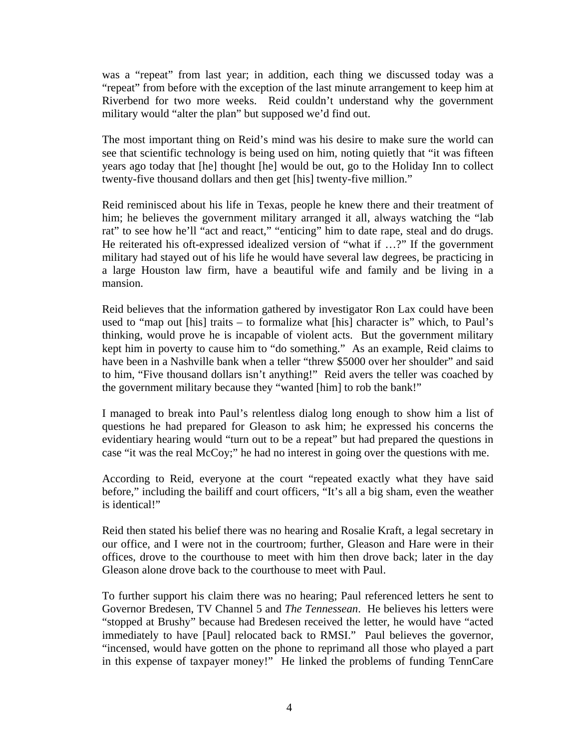was a "repeat" from last year; in addition, each thing we discussed today was a "repeat" from before with the exception of the last minute arrangement to keep him at Riverbend for two more weeks. Reid couldn't understand why the government military would "alter the plan" but supposed we'd find out.

The most important thing on Reid's mind was his desire to make sure the world can see that scientific technology is being used on him, noting quietly that "it was fifteen years ago today that [he] thought [he] would be out, go to the Holiday Inn to collect twenty-five thousand dollars and then get [his] twenty-five million."

Reid reminisced about his life in Texas, people he knew there and their treatment of him; he believes the government military arranged it all, always watching the "lab rat" to see how he'll "act and react," "enticing" him to date rape, steal and do drugs. He reiterated his oft-expressed idealized version of "what if …?" If the government military had stayed out of his life he would have several law degrees, be practicing in a large Houston law firm, have a beautiful wife and family and be living in a mansion.

Reid believes that the information gathered by investigator Ron Lax could have been used to "map out [his] traits – to formalize what [his] character is" which, to Paul's thinking, would prove he is incapable of violent acts. But the government military kept him in poverty to cause him to "do something." As an example, Reid claims to have been in a Nashville bank when a teller "threw \$5000 over her shoulder" and said to him, "Five thousand dollars isn't anything!" Reid avers the teller was coached by the government military because they "wanted [him] to rob the bank!"

I managed to break into Paul's relentless dialog long enough to show him a list of questions he had prepared for Gleason to ask him; he expressed his concerns the evidentiary hearing would "turn out to be a repeat" but had prepared the questions in case "it was the real McCoy;" he had no interest in going over the questions with me.

According to Reid, everyone at the court "repeated exactly what they have said before," including the bailiff and court officers, "It's all a big sham, even the weather is identical!"

Reid then stated his belief there was no hearing and Rosalie Kraft, a legal secretary in our office, and I were not in the courtroom; further, Gleason and Hare were in their offices, drove to the courthouse to meet with him then drove back; later in the day Gleason alone drove back to the courthouse to meet with Paul.

To further support his claim there was no hearing; Paul referenced letters he sent to Governor Bredesen, TV Channel 5 and *The Tennessean*. He believes his letters were "stopped at Brushy" because had Bredesen received the letter, he would have "acted immediately to have [Paul] relocated back to RMSI." Paul believes the governor, "incensed, would have gotten on the phone to reprimand all those who played a part in this expense of taxpayer money!" He linked the problems of funding TennCare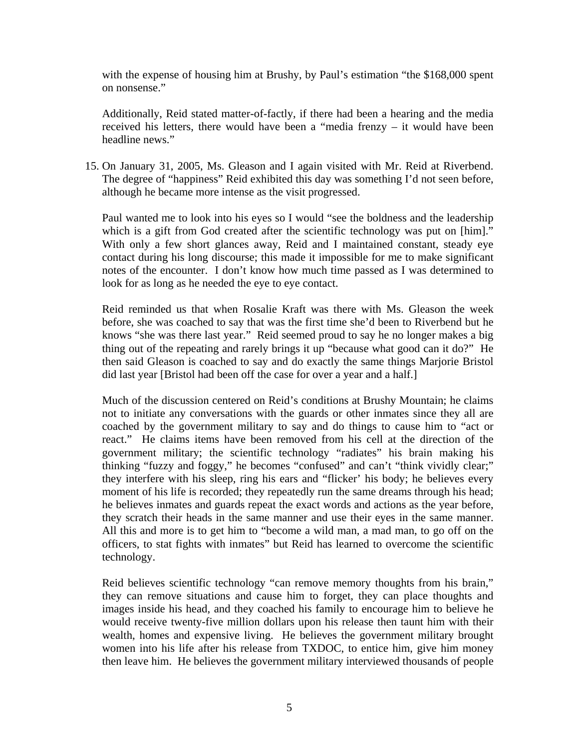with the expense of housing him at Brushy, by Paul's estimation "the \$168,000 spent on nonsense."

Additionally, Reid stated matter-of-factly, if there had been a hearing and the media received his letters, there would have been a "media frenzy – it would have been headline news."

15. On January 31, 2005, Ms. Gleason and I again visited with Mr. Reid at Riverbend. The degree of "happiness" Reid exhibited this day was something I'd not seen before, although he became more intense as the visit progressed.

Paul wanted me to look into his eyes so I would "see the boldness and the leadership which is a gift from God created after the scientific technology was put on [him]." With only a few short glances away, Reid and I maintained constant, steady eye contact during his long discourse; this made it impossible for me to make significant notes of the encounter. I don't know how much time passed as I was determined to look for as long as he needed the eye to eye contact.

Reid reminded us that when Rosalie Kraft was there with Ms. Gleason the week before, she was coached to say that was the first time she'd been to Riverbend but he knows "she was there last year." Reid seemed proud to say he no longer makes a big thing out of the repeating and rarely brings it up "because what good can it do?" He then said Gleason is coached to say and do exactly the same things Marjorie Bristol did last year [Bristol had been off the case for over a year and a half.]

Much of the discussion centered on Reid's conditions at Brushy Mountain; he claims not to initiate any conversations with the guards or other inmates since they all are coached by the government military to say and do things to cause him to "act or react." He claims items have been removed from his cell at the direction of the government military; the scientific technology "radiates" his brain making his thinking "fuzzy and foggy," he becomes "confused" and can't "think vividly clear;" they interfere with his sleep, ring his ears and "flicker' his body; he believes every moment of his life is recorded; they repeatedly run the same dreams through his head; he believes inmates and guards repeat the exact words and actions as the year before, they scratch their heads in the same manner and use their eyes in the same manner. All this and more is to get him to "become a wild man, a mad man, to go off on the officers, to stat fights with inmates" but Reid has learned to overcome the scientific technology.

Reid believes scientific technology "can remove memory thoughts from his brain," they can remove situations and cause him to forget, they can place thoughts and images inside his head, and they coached his family to encourage him to believe he would receive twenty-five million dollars upon his release then taunt him with their wealth, homes and expensive living. He believes the government military brought women into his life after his release from TXDOC, to entice him, give him money then leave him. He believes the government military interviewed thousands of people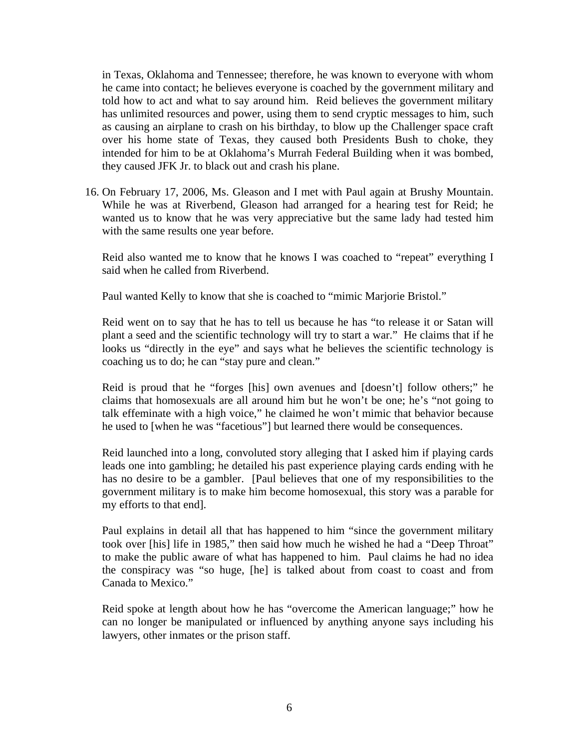in Texas, Oklahoma and Tennessee; therefore, he was known to everyone with whom he came into contact; he believes everyone is coached by the government military and told how to act and what to say around him. Reid believes the government military has unlimited resources and power, using them to send cryptic messages to him, such as causing an airplane to crash on his birthday, to blow up the Challenger space craft over his home state of Texas, they caused both Presidents Bush to choke, they intended for him to be at Oklahoma's Murrah Federal Building when it was bombed, they caused JFK Jr. to black out and crash his plane.

16. On February 17, 2006, Ms. Gleason and I met with Paul again at Brushy Mountain. While he was at Riverbend, Gleason had arranged for a hearing test for Reid; he wanted us to know that he was very appreciative but the same lady had tested him with the same results one year before.

Reid also wanted me to know that he knows I was coached to "repeat" everything I said when he called from Riverbend.

Paul wanted Kelly to know that she is coached to "mimic Marjorie Bristol."

Reid went on to say that he has to tell us because he has "to release it or Satan will plant a seed and the scientific technology will try to start a war." He claims that if he looks us "directly in the eye" and says what he believes the scientific technology is coaching us to do; he can "stay pure and clean."

Reid is proud that he "forges [his] own avenues and [doesn't] follow others;" he claims that homosexuals are all around him but he won't be one; he's "not going to talk effeminate with a high voice," he claimed he won't mimic that behavior because he used to [when he was "facetious"] but learned there would be consequences.

Reid launched into a long, convoluted story alleging that I asked him if playing cards leads one into gambling; he detailed his past experience playing cards ending with he has no desire to be a gambler. [Paul believes that one of my responsibilities to the government military is to make him become homosexual, this story was a parable for my efforts to that end].

Paul explains in detail all that has happened to him "since the government military took over [his] life in 1985," then said how much he wished he had a "Deep Throat" to make the public aware of what has happened to him. Paul claims he had no idea the conspiracy was "so huge, [he] is talked about from coast to coast and from Canada to Mexico."

Reid spoke at length about how he has "overcome the American language;" how he can no longer be manipulated or influenced by anything anyone says including his lawyers, other inmates or the prison staff.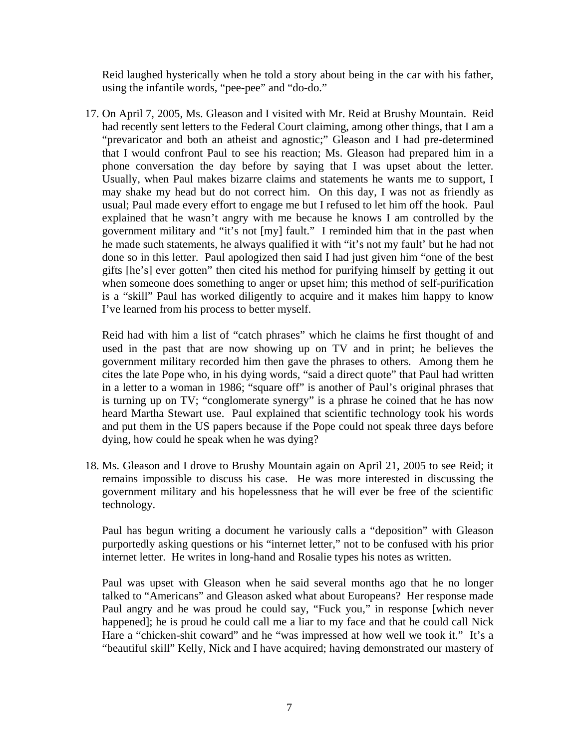Reid laughed hysterically when he told a story about being in the car with his father, using the infantile words, "pee-pee" and "do-do."

17. On April 7, 2005, Ms. Gleason and I visited with Mr. Reid at Brushy Mountain. Reid had recently sent letters to the Federal Court claiming, among other things, that I am a "prevaricator and both an atheist and agnostic;" Gleason and I had pre-determined that I would confront Paul to see his reaction; Ms. Gleason had prepared him in a phone conversation the day before by saying that I was upset about the letter. Usually, when Paul makes bizarre claims and statements he wants me to support, I may shake my head but do not correct him. On this day, I was not as friendly as usual; Paul made every effort to engage me but I refused to let him off the hook. Paul explained that he wasn't angry with me because he knows I am controlled by the government military and "it's not [my] fault." I reminded him that in the past when he made such statements, he always qualified it with "it's not my fault' but he had not done so in this letter. Paul apologized then said I had just given him "one of the best gifts [he's] ever gotten" then cited his method for purifying himself by getting it out when someone does something to anger or upset him; this method of self-purification is a "skill" Paul has worked diligently to acquire and it makes him happy to know I've learned from his process to better myself.

Reid had with him a list of "catch phrases" which he claims he first thought of and used in the past that are now showing up on TV and in print; he believes the government military recorded him then gave the phrases to others. Among them he cites the late Pope who, in his dying words, "said a direct quote" that Paul had written in a letter to a woman in 1986; "square off" is another of Paul's original phrases that is turning up on TV; "conglomerate synergy" is a phrase he coined that he has now heard Martha Stewart use. Paul explained that scientific technology took his words and put them in the US papers because if the Pope could not speak three days before dying, how could he speak when he was dying?

18. Ms. Gleason and I drove to Brushy Mountain again on April 21, 2005 to see Reid; it remains impossible to discuss his case. He was more interested in discussing the government military and his hopelessness that he will ever be free of the scientific technology.

Paul has begun writing a document he variously calls a "deposition" with Gleason purportedly asking questions or his "internet letter," not to be confused with his prior internet letter. He writes in long-hand and Rosalie types his notes as written.

Paul was upset with Gleason when he said several months ago that he no longer talked to "Americans" and Gleason asked what about Europeans? Her response made Paul angry and he was proud he could say, "Fuck you," in response [which never happened]; he is proud he could call me a liar to my face and that he could call Nick Hare a "chicken-shit coward" and he "was impressed at how well we took it." It's a "beautiful skill" Kelly, Nick and I have acquired; having demonstrated our mastery of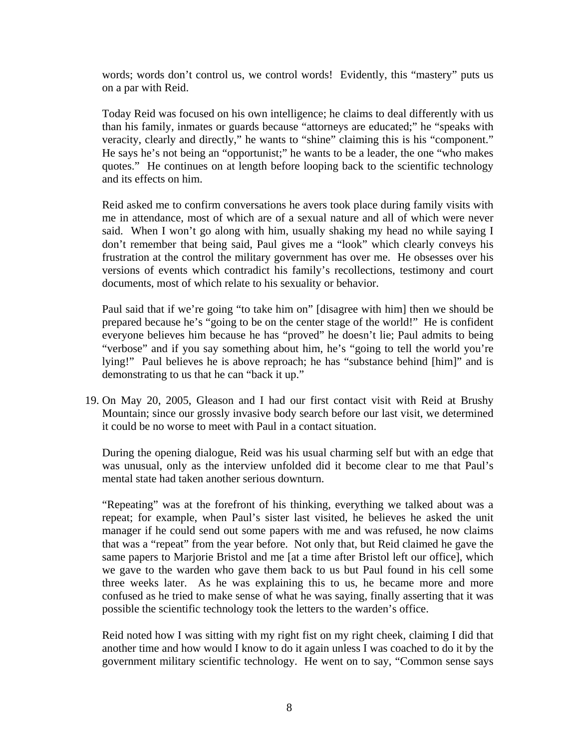words; words don't control us, we control words! Evidently, this "mastery" puts us on a par with Reid.

Today Reid was focused on his own intelligence; he claims to deal differently with us than his family, inmates or guards because "attorneys are educated;" he "speaks with veracity, clearly and directly," he wants to "shine" claiming this is his "component." He says he's not being an "opportunist;" he wants to be a leader, the one "who makes quotes." He continues on at length before looping back to the scientific technology and its effects on him.

Reid asked me to confirm conversations he avers took place during family visits with me in attendance, most of which are of a sexual nature and all of which were never said. When I won't go along with him, usually shaking my head no while saying I don't remember that being said, Paul gives me a "look" which clearly conveys his frustration at the control the military government has over me. He obsesses over his versions of events which contradict his family's recollections, testimony and court documents, most of which relate to his sexuality or behavior.

Paul said that if we're going "to take him on" [disagree with him] then we should be prepared because he's "going to be on the center stage of the world!" He is confident everyone believes him because he has "proved" he doesn't lie; Paul admits to being "verbose" and if you say something about him, he's "going to tell the world you're lying!" Paul believes he is above reproach; he has "substance behind [him]" and is demonstrating to us that he can "back it up."

19. On May 20, 2005, Gleason and I had our first contact visit with Reid at Brushy Mountain; since our grossly invasive body search before our last visit, we determined it could be no worse to meet with Paul in a contact situation.

During the opening dialogue, Reid was his usual charming self but with an edge that was unusual, only as the interview unfolded did it become clear to me that Paul's mental state had taken another serious downturn.

"Repeating" was at the forefront of his thinking, everything we talked about was a repeat; for example, when Paul's sister last visited, he believes he asked the unit manager if he could send out some papers with me and was refused, he now claims that was a "repeat" from the year before. Not only that, but Reid claimed he gave the same papers to Marjorie Bristol and me [at a time after Bristol left our office], which we gave to the warden who gave them back to us but Paul found in his cell some three weeks later. As he was explaining this to us, he became more and more confused as he tried to make sense of what he was saying, finally asserting that it was possible the scientific technology took the letters to the warden's office.

Reid noted how I was sitting with my right fist on my right cheek, claiming I did that another time and how would I know to do it again unless I was coached to do it by the government military scientific technology. He went on to say, "Common sense says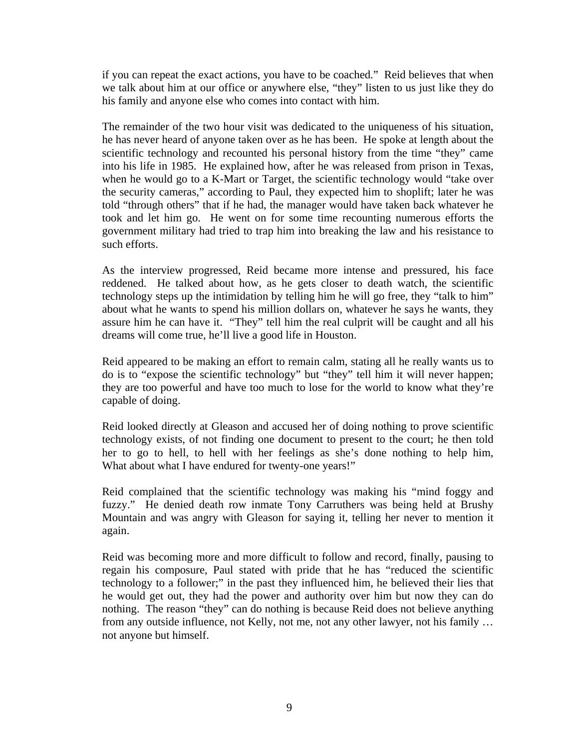if you can repeat the exact actions, you have to be coached." Reid believes that when we talk about him at our office or anywhere else, "they" listen to us just like they do his family and anyone else who comes into contact with him.

The remainder of the two hour visit was dedicated to the uniqueness of his situation, he has never heard of anyone taken over as he has been. He spoke at length about the scientific technology and recounted his personal history from the time "they" came into his life in 1985. He explained how, after he was released from prison in Texas, when he would go to a K-Mart or Target, the scientific technology would "take over the security cameras," according to Paul, they expected him to shoplift; later he was told "through others" that if he had, the manager would have taken back whatever he took and let him go. He went on for some time recounting numerous efforts the government military had tried to trap him into breaking the law and his resistance to such efforts.

As the interview progressed, Reid became more intense and pressured, his face reddened. He talked about how, as he gets closer to death watch, the scientific technology steps up the intimidation by telling him he will go free, they "talk to him" about what he wants to spend his million dollars on, whatever he says he wants, they assure him he can have it. "They" tell him the real culprit will be caught and all his dreams will come true, he'll live a good life in Houston.

Reid appeared to be making an effort to remain calm, stating all he really wants us to do is to "expose the scientific technology" but "they" tell him it will never happen; they are too powerful and have too much to lose for the world to know what they're capable of doing.

Reid looked directly at Gleason and accused her of doing nothing to prove scientific technology exists, of not finding one document to present to the court; he then told her to go to hell, to hell with her feelings as she's done nothing to help him, What about what I have endured for twenty-one years!"

Reid complained that the scientific technology was making his "mind foggy and fuzzy." He denied death row inmate Tony Carruthers was being held at Brushy Mountain and was angry with Gleason for saying it, telling her never to mention it again.

Reid was becoming more and more difficult to follow and record, finally, pausing to regain his composure, Paul stated with pride that he has "reduced the scientific technology to a follower;" in the past they influenced him, he believed their lies that he would get out, they had the power and authority over him but now they can do nothing. The reason "they" can do nothing is because Reid does not believe anything from any outside influence, not Kelly, not me, not any other lawyer, not his family … not anyone but himself.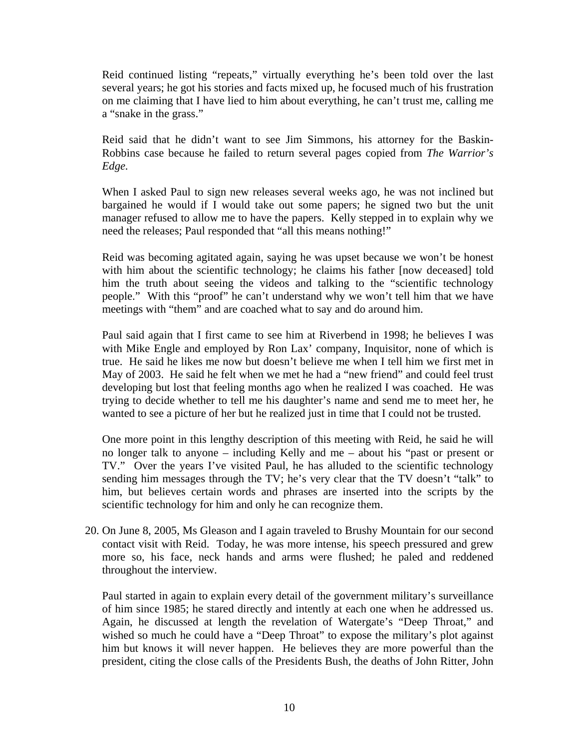Reid continued listing "repeats," virtually everything he's been told over the last several years; he got his stories and facts mixed up, he focused much of his frustration on me claiming that I have lied to him about everything, he can't trust me, calling me a "snake in the grass."

Reid said that he didn't want to see Jim Simmons, his attorney for the Baskin-Robbins case because he failed to return several pages copied from *The Warrior's Edge.* 

When I asked Paul to sign new releases several weeks ago, he was not inclined but bargained he would if I would take out some papers; he signed two but the unit manager refused to allow me to have the papers. Kelly stepped in to explain why we need the releases; Paul responded that "all this means nothing!"

Reid was becoming agitated again, saying he was upset because we won't be honest with him about the scientific technology; he claims his father [now deceased] told him the truth about seeing the videos and talking to the "scientific technology people." With this "proof" he can't understand why we won't tell him that we have meetings with "them" and are coached what to say and do around him.

Paul said again that I first came to see him at Riverbend in 1998; he believes I was with Mike Engle and employed by Ron Lax' company, Inquisitor, none of which is true. He said he likes me now but doesn't believe me when I tell him we first met in May of 2003. He said he felt when we met he had a "new friend" and could feel trust developing but lost that feeling months ago when he realized I was coached. He was trying to decide whether to tell me his daughter's name and send me to meet her, he wanted to see a picture of her but he realized just in time that I could not be trusted.

One more point in this lengthy description of this meeting with Reid, he said he will no longer talk to anyone – including Kelly and me – about his "past or present or TV." Over the years I've visited Paul, he has alluded to the scientific technology sending him messages through the TV; he's very clear that the TV doesn't "talk" to him, but believes certain words and phrases are inserted into the scripts by the scientific technology for him and only he can recognize them.

20. On June 8, 2005, Ms Gleason and I again traveled to Brushy Mountain for our second contact visit with Reid. Today, he was more intense, his speech pressured and grew more so, his face, neck hands and arms were flushed; he paled and reddened throughout the interview.

Paul started in again to explain every detail of the government military's surveillance of him since 1985; he stared directly and intently at each one when he addressed us. Again, he discussed at length the revelation of Watergate's "Deep Throat," and wished so much he could have a "Deep Throat" to expose the military's plot against him but knows it will never happen. He believes they are more powerful than the president, citing the close calls of the Presidents Bush, the deaths of John Ritter, John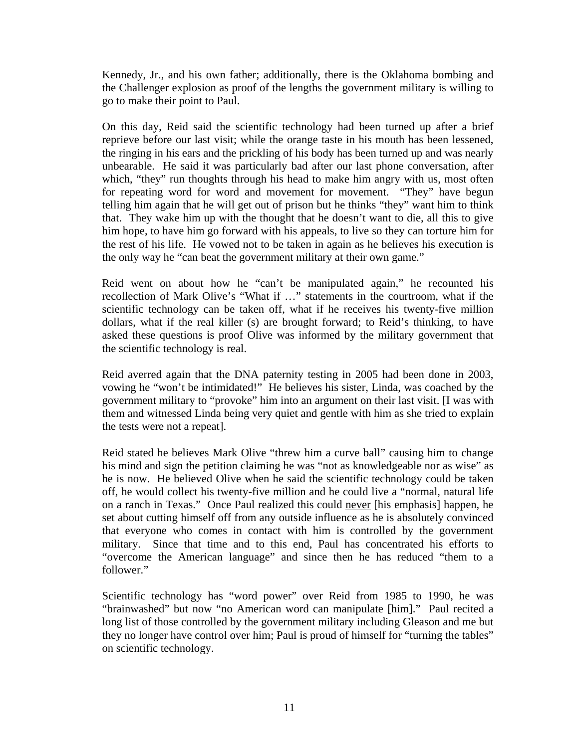Kennedy, Jr., and his own father; additionally, there is the Oklahoma bombing and the Challenger explosion as proof of the lengths the government military is willing to go to make their point to Paul.

On this day, Reid said the scientific technology had been turned up after a brief reprieve before our last visit; while the orange taste in his mouth has been lessened, the ringing in his ears and the prickling of his body has been turned up and was nearly unbearable. He said it was particularly bad after our last phone conversation, after which, "they" run thoughts through his head to make him angry with us, most often for repeating word for word and movement for movement. "They" have begun telling him again that he will get out of prison but he thinks "they" want him to think that. They wake him up with the thought that he doesn't want to die, all this to give him hope, to have him go forward with his appeals, to live so they can torture him for the rest of his life. He vowed not to be taken in again as he believes his execution is the only way he "can beat the government military at their own game."

Reid went on about how he "can't be manipulated again," he recounted his recollection of Mark Olive's "What if …" statements in the courtroom, what if the scientific technology can be taken off, what if he receives his twenty-five million dollars, what if the real killer (s) are brought forward; to Reid's thinking, to have asked these questions is proof Olive was informed by the military government that the scientific technology is real.

Reid averred again that the DNA paternity testing in 2005 had been done in 2003, vowing he "won't be intimidated!" He believes his sister, Linda, was coached by the government military to "provoke" him into an argument on their last visit. [I was with them and witnessed Linda being very quiet and gentle with him as she tried to explain the tests were not a repeat].

Reid stated he believes Mark Olive "threw him a curve ball" causing him to change his mind and sign the petition claiming he was "not as knowledgeable nor as wise" as he is now. He believed Olive when he said the scientific technology could be taken off, he would collect his twenty-five million and he could live a "normal, natural life on a ranch in Texas." Once Paul realized this could never [his emphasis] happen, he set about cutting himself off from any outside influence as he is absolutely convinced that everyone who comes in contact with him is controlled by the government military. Since that time and to this end, Paul has concentrated his efforts to "overcome the American language" and since then he has reduced "them to a follower."

Scientific technology has "word power" over Reid from 1985 to 1990, he was "brainwashed" but now "no American word can manipulate [him]." Paul recited a long list of those controlled by the government military including Gleason and me but they no longer have control over him; Paul is proud of himself for "turning the tables" on scientific technology.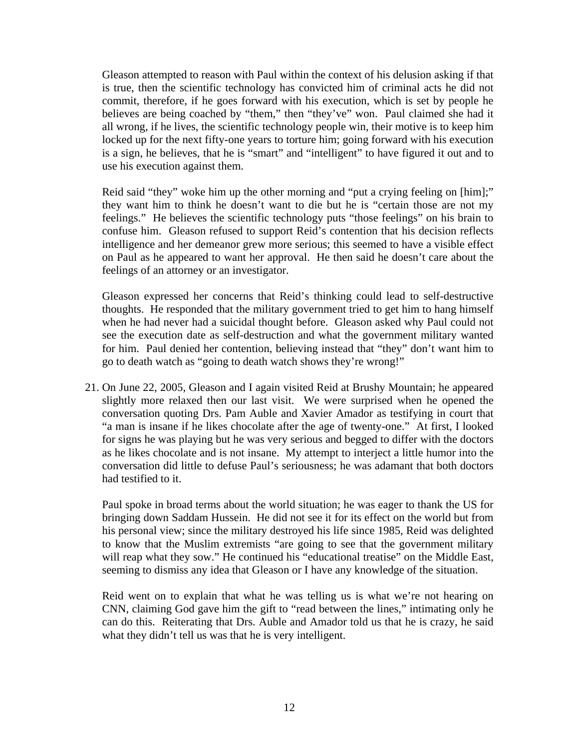Gleason attempted to reason with Paul within the context of his delusion asking if that is true, then the scientific technology has convicted him of criminal acts he did not commit, therefore, if he goes forward with his execution, which is set by people he believes are being coached by "them," then "they've" won. Paul claimed she had it all wrong, if he lives, the scientific technology people win, their motive is to keep him locked up for the next fifty-one years to torture him; going forward with his execution is a sign, he believes, that he is "smart" and "intelligent" to have figured it out and to use his execution against them.

Reid said "they" woke him up the other morning and "put a crying feeling on [him];" they want him to think he doesn't want to die but he is "certain those are not my feelings." He believes the scientific technology puts "those feelings" on his brain to confuse him. Gleason refused to support Reid's contention that his decision reflects intelligence and her demeanor grew more serious; this seemed to have a visible effect on Paul as he appeared to want her approval. He then said he doesn't care about the feelings of an attorney or an investigator.

Gleason expressed her concerns that Reid's thinking could lead to self-destructive thoughts. He responded that the military government tried to get him to hang himself when he had never had a suicidal thought before. Gleason asked why Paul could not see the execution date as self-destruction and what the government military wanted for him. Paul denied her contention, believing instead that "they" don't want him to go to death watch as "going to death watch shows they're wrong!"

21. On June 22, 2005, Gleason and I again visited Reid at Brushy Mountain; he appeared slightly more relaxed then our last visit. We were surprised when he opened the conversation quoting Drs. Pam Auble and Xavier Amador as testifying in court that "a man is insane if he likes chocolate after the age of twenty-one." At first, I looked for signs he was playing but he was very serious and begged to differ with the doctors as he likes chocolate and is not insane. My attempt to interject a little humor into the conversation did little to defuse Paul's seriousness; he was adamant that both doctors had testified to it.

Paul spoke in broad terms about the world situation; he was eager to thank the US for bringing down Saddam Hussein. He did not see it for its effect on the world but from his personal view; since the military destroyed his life since 1985, Reid was delighted to know that the Muslim extremists "are going to see that the government military will reap what they sow." He continued his "educational treatise" on the Middle East, seeming to dismiss any idea that Gleason or I have any knowledge of the situation.

Reid went on to explain that what he was telling us is what we're not hearing on CNN, claiming God gave him the gift to "read between the lines," intimating only he can do this. Reiterating that Drs. Auble and Amador told us that he is crazy, he said what they didn't tell us was that he is very intelligent.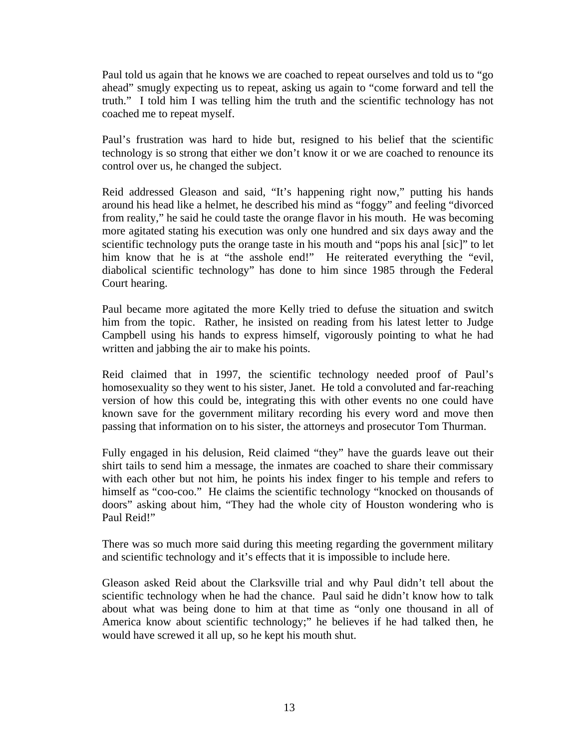Paul told us again that he knows we are coached to repeat ourselves and told us to "go ahead" smugly expecting us to repeat, asking us again to "come forward and tell the truth." I told him I was telling him the truth and the scientific technology has not coached me to repeat myself.

Paul's frustration was hard to hide but, resigned to his belief that the scientific technology is so strong that either we don't know it or we are coached to renounce its control over us, he changed the subject.

Reid addressed Gleason and said, "It's happening right now," putting his hands around his head like a helmet, he described his mind as "foggy" and feeling "divorced from reality," he said he could taste the orange flavor in his mouth. He was becoming more agitated stating his execution was only one hundred and six days away and the scientific technology puts the orange taste in his mouth and "pops his anal [sic]" to let him know that he is at "the asshole end!" He reiterated everything the "evil, diabolical scientific technology" has done to him since 1985 through the Federal Court hearing.

Paul became more agitated the more Kelly tried to defuse the situation and switch him from the topic. Rather, he insisted on reading from his latest letter to Judge Campbell using his hands to express himself, vigorously pointing to what he had written and jabbing the air to make his points.

Reid claimed that in 1997, the scientific technology needed proof of Paul's homosexuality so they went to his sister, Janet. He told a convoluted and far-reaching version of how this could be, integrating this with other events no one could have known save for the government military recording his every word and move then passing that information on to his sister, the attorneys and prosecutor Tom Thurman.

Fully engaged in his delusion, Reid claimed "they" have the guards leave out their shirt tails to send him a message, the inmates are coached to share their commissary with each other but not him, he points his index finger to his temple and refers to himself as "coo-coo." He claims the scientific technology "knocked on thousands of doors" asking about him, "They had the whole city of Houston wondering who is Paul Reid!"

There was so much more said during this meeting regarding the government military and scientific technology and it's effects that it is impossible to include here.

Gleason asked Reid about the Clarksville trial and why Paul didn't tell about the scientific technology when he had the chance. Paul said he didn't know how to talk about what was being done to him at that time as "only one thousand in all of America know about scientific technology;" he believes if he had talked then, he would have screwed it all up, so he kept his mouth shut.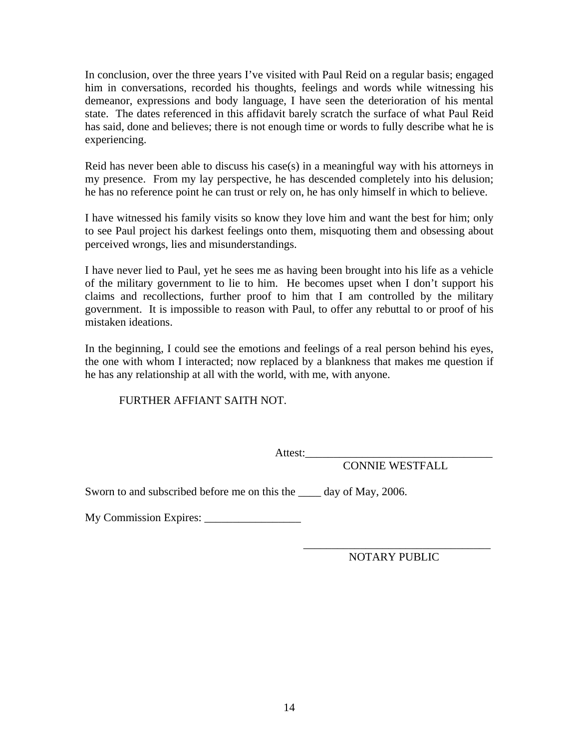In conclusion, over the three years I've visited with Paul Reid on a regular basis; engaged him in conversations, recorded his thoughts, feelings and words while witnessing his demeanor, expressions and body language, I have seen the deterioration of his mental state. The dates referenced in this affidavit barely scratch the surface of what Paul Reid has said, done and believes; there is not enough time or words to fully describe what he is experiencing.

Reid has never been able to discuss his case(s) in a meaningful way with his attorneys in my presence. From my lay perspective, he has descended completely into his delusion; he has no reference point he can trust or rely on, he has only himself in which to believe.

I have witnessed his family visits so know they love him and want the best for him; only to see Paul project his darkest feelings onto them, misquoting them and obsessing about perceived wrongs, lies and misunderstandings.

I have never lied to Paul, yet he sees me as having been brought into his life as a vehicle of the military government to lie to him. He becomes upset when I don't support his claims and recollections, further proof to him that I am controlled by the military government. It is impossible to reason with Paul, to offer any rebuttal to or proof of his mistaken ideations.

In the beginning, I could see the emotions and feelings of a real person behind his eyes, the one with whom I interacted; now replaced by a blankness that makes me question if he has any relationship at all with the world, with me, with anyone.

FURTHER AFFIANT SAITH NOT.

Attest:\_\_\_\_\_\_\_\_\_\_\_\_\_\_\_\_\_\_\_\_\_\_\_\_\_\_\_\_\_\_\_\_\_

CONNIE WESTFALL

Sworn to and subscribed before me on this the \_\_\_\_\_ day of May, 2006.

My Commission Expires: \_\_\_\_\_\_\_\_\_\_\_\_\_\_\_\_\_

 $\overline{\phantom{a}}$  , and the contract of the contract of the contract of the contract of the contract of the contract of the contract of the contract of the contract of the contract of the contract of the contract of the contrac NOTARY PUBLIC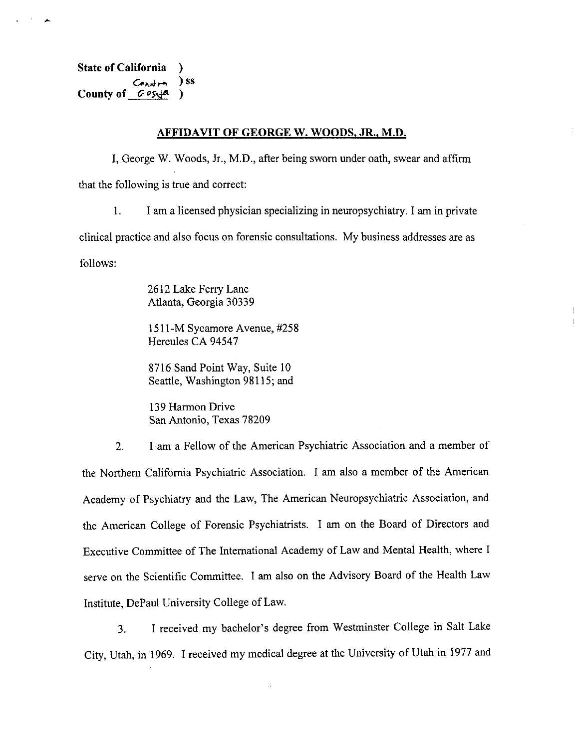**State of California**  $\mathcal{F}$  $\frac{1}{\sqrt{2}}$ County of  $G \circ s \circ \phi$  $\lambda$ 

#### **AFFIDAVIT OF GEORGE W. WOODS, JR., M.D.**

I, George W. Woods, Jr., M.D., after being sworn under oath, swear and affirm that the following is true and correct:

 $1.$ I am a licensed physician specializing in neuropsychiatry. I am in private clinical practice and also focus on forensic consultations. My business addresses are as follows:

> 2612 Lake Ferry Lane Atlanta, Georgia 30339

1511-M Sycamore Avenue, #258 Hercules CA 94547

8716 Sand Point Way, Suite 10 Seattle, Washington 98115; and

139 Harmon Drive San Antonio, Texas 78209

I am a Fellow of the American Psychiatric Association and a member of  $2.$ the Northern California Psychiatric Association. I am also a member of the American Academy of Psychiatry and the Law, The American Neuropsychiatric Association, and the American College of Forensic Psychiatrists. I am on the Board of Directors and Executive Committee of The International Academy of Law and Mental Health, where I serve on the Scientific Committee. I am also on the Advisory Board of the Health Law Institute, DePaul University College of Law.

I received my bachelor's degree from Westminster College in Salt Lake  $3<sub>1</sub>$ City, Utah, in 1969. I received my medical degree at the University of Utah in 1977 and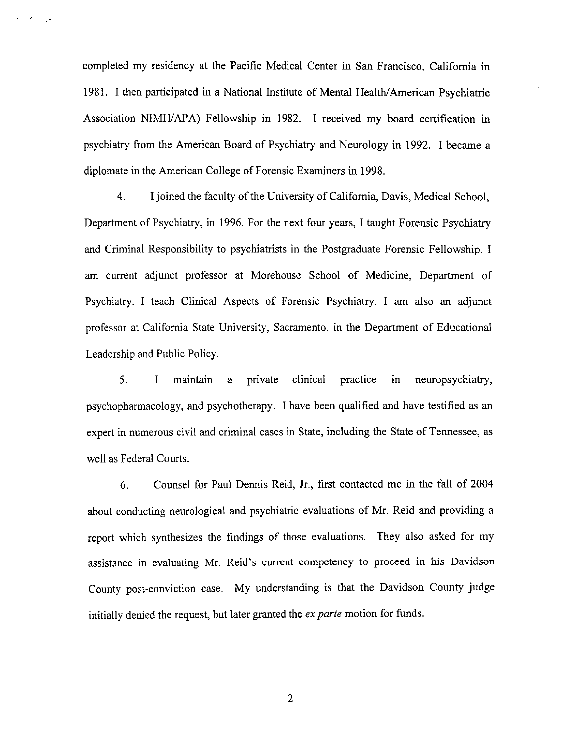completed my residency at the Pacific Medical Center in San Francisco, California in 1981. I then participated in a National Institute of Mental Health/American Psychiatric Association NIMH/APA) Fellowship in 1982. I received my board certification in psychiatry from the American Board of Psychiatry and Neurology in 1992. I became a diplomate in the American College of Forensic Examiners in 1998.

 $4.$ I joined the faculty of the University of California, Davis, Medical School, Department of Psychiatry, in 1996. For the next four years, I taught Forensic Psychiatry and Criminal Responsibility to psychiatrists in the Postgraduate Forensic Fellowship. I am current adjunct professor at Morehouse School of Medicine, Department of Psychiatry. I teach Clinical Aspects of Forensic Psychiatry. I am also an adjunct professor at California State University, Sacramento, in the Department of Educational Leadership and Public Policy.

5.  $\mathbf{I}$ maintain private clinical practice in neuropsychiatry,  $\mathbf{a}$ psychopharmacology, and psychotherapy. I have been qualified and have testified as an expert in numerous civil and criminal cases in State, including the State of Tennessee, as well as Federal Courts.

Counsel for Paul Dennis Reid, Jr., first contacted me in the fall of 2004 6. about conducting neurological and psychiatric evaluations of Mr. Reid and providing a report which synthesizes the findings of those evaluations. They also asked for my assistance in evaluating Mr. Reid's current competency to proceed in his Davidson County post-conviction case. My understanding is that the Davidson County judge initially denied the request, but later granted the ex parte motion for funds.

 $\overline{2}$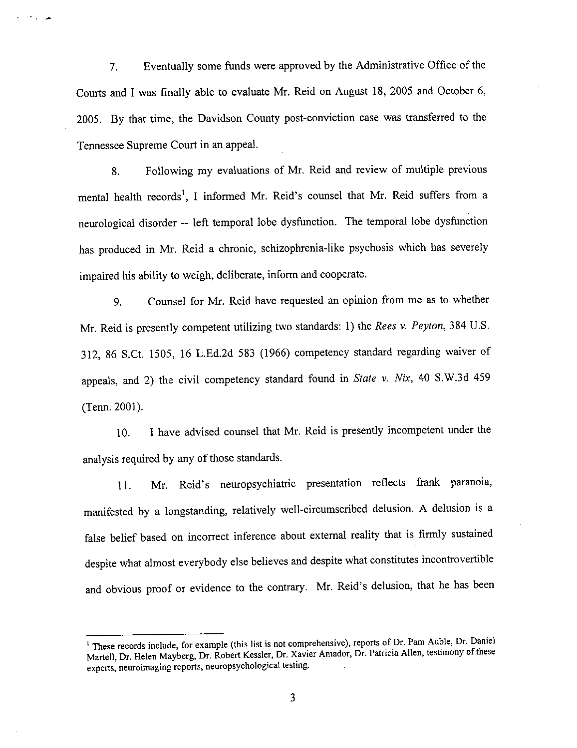Eventually some funds were approved by the Administrative Office of the  $7.$ Courts and I was finally able to evaluate Mr. Reid on August 18, 2005 and October 6, 2005. By that time, the Davidson County post-conviction case was transferred to the Tennessee Supreme Court in an appeal.

میں ک

Following my evaluations of Mr. Reid and review of multiple previous 8. mental health records<sup>1</sup>, I informed Mr. Reid's counsel that Mr. Reid suffers from a neurological disorder -- left temporal lobe dysfunction. The temporal lobe dysfunction has produced in Mr. Reid a chronic, schizophrenia-like psychosis which has severely impaired his ability to weigh, deliberate, inform and cooperate.

Counsel for Mr. Reid have requested an opinion from me as to whether 9. Mr. Reid is presently competent utilizing two standards: 1) the Rees v. Peyton, 384 U.S. 312, 86 S.Ct. 1505, 16 L.Ed.2d 583 (1966) competency standard regarding waiver of appeals, and 2) the civil competency standard found in State v. Nix, 40 S.W.3d 459 (Tenn. 2001).

I have advised counsel that Mr. Reid is presently incompetent under the 10. analysis required by any of those standards.

Mr. Reid's neuropsychiatric presentation reflects frank paranoia, 11. manifested by a longstanding, relatively well-circumscribed delusion. A delusion is a false belief based on incorrect inference about external reality that is firmly sustained despite what almost everybody else believes and despite what constitutes incontrovertible and obvious proof or evidence to the contrary. Mr. Reid's delusion, that he has been

<sup>&</sup>lt;sup>1</sup> These records include, for example (this list is not comprehensive), reports of Dr. Pam Auble, Dr. Daniel Martell, Dr. Helen Mayberg, Dr. Robert Kessler, Dr. Xavier Amador, Dr. Patricia Allen, testimony of these experts, neuroimaging reports, neuropsychological testing.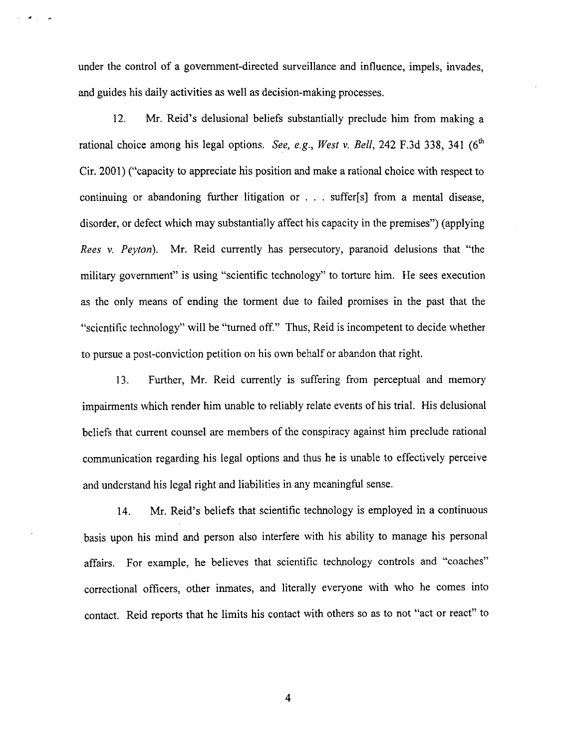under the control of a government-directed surveillance and influence, impels, invades, and guides his daily activities as well as decision-making processes.

می به مخ

12. Mr. Reid's delusional beliefs substantially preclude him from making a rational choice among his legal options. See, e.g., West v. Bell, 242 F.3d 338, 341  $(6<sup>th</sup>$ Cir. 2001) ("capacity to appreciate his position and make a rational choice with respect to continuing or abandoning further litigation or . . . suffer[s] from a mental disease, disorder, or defect which may substantially affect his capacity in the premises") (applying Rees v. Peyton). Mr. Reid currently has persecutory, paranoid delusions that "the military government" is using "scientific technology" to torture him. He sees execution as the only means of ending the torment due to failed promises in the past that the "scientific technology" will be "turned off." Thus, Reid is incompetent to decide whether to pursue a post-conviction petition on his own behalf or abandon that right.

13. Further, Mr. Reid currently is suffering from perceptual and memory impairments which render him unable to reliably relate events of his trial. His delusional beliefs that current counsel are members of the conspiracy against him preclude rational communication regarding his legal options and thus he is unable to effectively perceive and understand his legal right and liabilities in any meaningful sense.

Mr. Reid's beliefs that scientific technology is employed in a continuous 14. basis upon his mind and person also interfere with his ability to manage his personal affairs. For example, he believes that scientific technology controls and "coaches" correctional officers, other inmates, and literally everyone with who he comes into contact. Reid reports that he limits his contact with others so as to not "act or react" to

 $\overline{4}$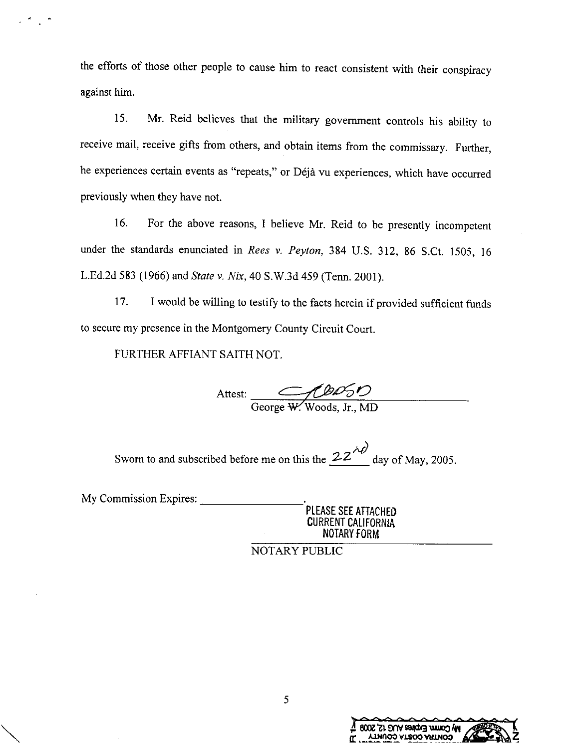the efforts of those other people to cause him to react consistent with their conspiracy against him.

Mr. Reid believes that the military government controls his ability to 15. receive mail, receive gifts from others, and obtain items from the commissary. Further, he experiences certain events as "repeats," or Déjà vu experiences, which have occurred previously when they have not.

For the above reasons, I believe Mr. Reid to be presently incompetent 16. under the standards enunciated in Rees v. Peyton, 384 U.S. 312, 86 S.Ct. 1505, 16 L.Ed.2d 583 (1966) and State v. Nix, 40 S.W.3d 459 (Tenn. 2001).

I would be willing to testify to the facts herein if provided sufficient funds 17. to secure my presence in the Montgomery County Circuit Court.

FURTHER AFFIANT SAITH NOT.

Attest:  $\overline{\mathcal{C} \mathcal{D} \mathcal{D} \mathcal{D}}$ 

Sworn to and subscribed before me on this the  $22^{40}$  day of May, 2005.

My Commission Expires:

PLEASE SEE ATTACHED **CURRENT CALIFORNIA** NOTARY FORM

NOTARY PUBLIC